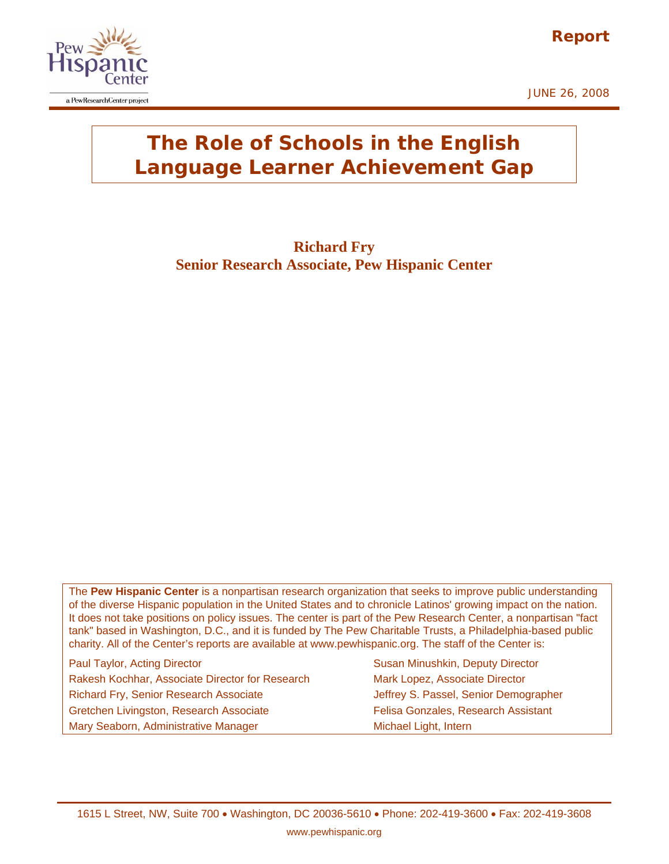





## **The Role of Schools in the English Language Learner Achievement Gap**

**Richard Fry Senior Research Associate, Pew Hispanic Center** 

The **Pew Hispanic Center** is a nonpartisan research organization that seeks to improve public understanding of the diverse Hispanic population in the United States and to chronicle Latinos' growing impact on the nation. It does not take positions on policy issues. The center is part of the Pew Research Center, a nonpartisan "fact tank" based in Washington, D.C., and it is funded by The Pew Charitable Trusts, a Philadelphia-based public charity. All of the Center's reports are available at www.pewhispanic.org. The staff of the Center is:

Paul Taylor, Acting Director Susan Minushkin, Deputy Director Susan Minushkin, Deputy Director Rakesh Kochhar, Associate Director for Research Mark Lopez, Associate Director Richard Fry, Senior Research Associate **Jeffrey S. Passel, Senior Demographer** Gretchen Livingston, Research Associate Felisa Gonzales, Research Assistant Mary Seaborn, Administrative Manager Michael Light, Intern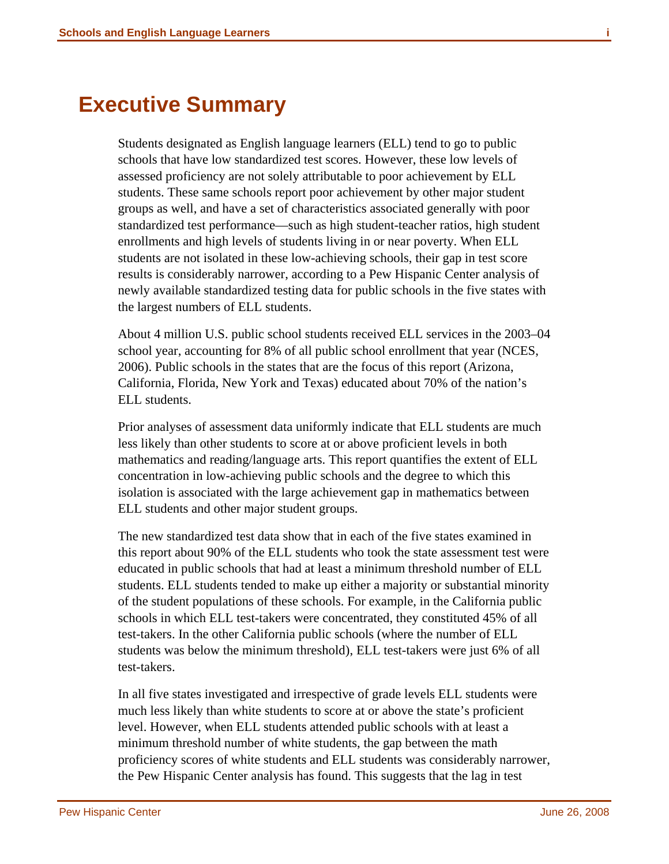<span id="page-1-0"></span>

Students designated as English language learners (ELL) tend to go to public schools that have low standardized test scores. However, these low levels of assessed proficiency are not solely attributable to poor achievement by ELL students. These same schools report poor achievement by other major student groups as well, and have a set of characteristics associated generally with poor standardized test performance—such as high student-teacher ratios, high student enrollments and high levels of students living in or near poverty. When ELL students are not isolated in these low-achieving schools, their gap in test score results is considerably narrower, according to a Pew Hispanic Center analysis of newly available standardized testing data for public schools in the five states with the largest numbers of ELL students.

About 4 million U.S. public school students received ELL services in the 2003–04 school year, accounting for 8% of all public school enrollment that year (NCES, 2006). Public schools in the states that are the focus of this report (Arizona, California, Florida, New York and Texas) educated about 70% of the nation's ELL students.

Prior analyses of assessment data uniformly indicate that ELL students are much less likely than other students to score at or above proficient levels in both mathematics and reading/language arts. This report quantifies the extent of ELL concentration in low-achieving public schools and the degree to which this isolation is associated with the large achievement gap in mathematics between ELL students and other major student groups.

The new standardized test data show that in each of the five states examined in this report about 90% of the ELL students who took the state assessment test were educated in public schools that had at least a minimum threshold number of ELL students. ELL students tended to make up either a majority or substantial minority of the student populations of these schools. For example, in the California public schools in which ELL test-takers were concentrated, they constituted 45% of all test-takers. In the other California public schools (where the number of ELL students was below the minimum threshold), ELL test-takers were just 6% of all test-takers.

In all five states investigated and irrespective of grade levels ELL students were much less likely than white students to score at or above the state's proficient level. However, when ELL students attended public schools with at least a minimum threshold number of white students, the gap between the math proficiency scores of white students and ELL students was considerably narrower, the Pew Hispanic Center analysis has found. This suggests that the lag in test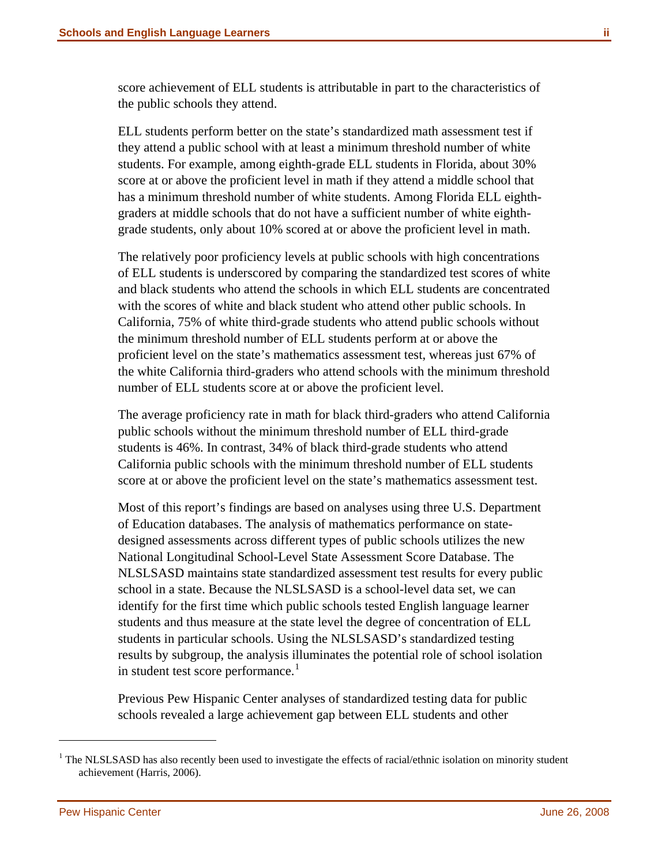score achievement of ELL students is attributable in part to the characteristics of the public schools they attend.

ELL students perform better on the state's standardized math assessment test if they attend a public school with at least a minimum threshold number of white students. For example, among eighth-grade ELL students in Florida, about 30% score at or above the proficient level in math if they attend a middle school that has a minimum threshold number of white students. Among Florida ELL eighthgraders at middle schools that do not have a sufficient number of white eighthgrade students, only about 10% scored at or above the proficient level in math.

The relatively poor proficiency levels at public schools with high concentrations of ELL students is underscored by comparing the standardized test scores of white and black students who attend the schools in which ELL students are concentrated with the scores of white and black student who attend other public schools. In California, 75% of white third-grade students who attend public schools without the minimum threshold number of ELL students perform at or above the proficient level on the state's mathematics assessment test, whereas just 67% of the white California third-graders who attend schools with the minimum threshold number of ELL students score at or above the proficient level.

The average proficiency rate in math for black third-graders who attend California public schools without the minimum threshold number of ELL third-grade students is 46%. In contrast, 34% of black third-grade students who attend California public schools with the minimum threshold number of ELL students score at or above the proficient level on the state's mathematics assessment test.

Most of this report's findings are based on analyses using three U.S. Department of Education databases. The analysis of mathematics performance on statedesigned assessments across different types of public schools utilizes the new National Longitudinal School-Level State Assessment Score Database. The NLSLSASD maintains state standardized assessment test results for every public school in a state. Because the NLSLSASD is a school-level data set, we can identify for the first time which public schools tested English language learner students and thus measure at the state level the degree of concentration of ELL students in particular schools. Using the NLSLSASD's standardized testing results by subgroup, the analysis illuminates the potential role of school isolation in student test score performance.<sup>[1](#page-2-0)</sup>

Previous Pew Hispanic Center analyses of standardized testing data for public schools revealed a large achievement gap between ELL students and other

<span id="page-2-0"></span><sup>&</sup>lt;sup>1</sup> The NLSLSASD has also recently been used to investigate the effects of racial/ethnic isolation on minority student achievement (Harris, 2006).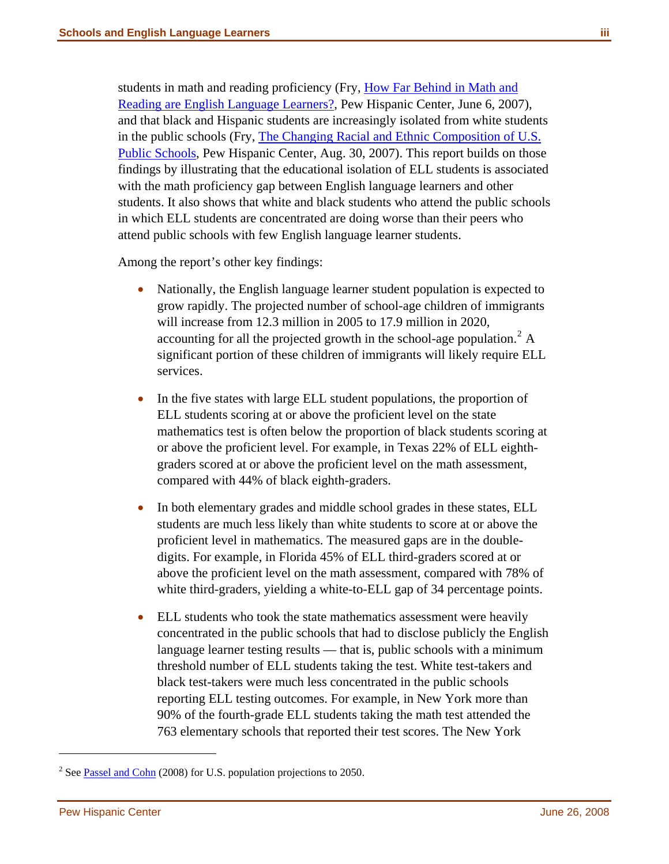students in math and reading proficiency (Fry, [How Far Behind in Math and](http://pewhispanic.org/files/reports/76.pdf)  [Reading are English Language Learners?,](http://pewhispanic.org/files/reports/76.pdf) Pew Hispanic Center, June 6, 2007), and that black and Hispanic students are increasingly isolated from white students in the public schools (Fry, [The Changing Racial and Ethnic Composition of U.S.](http://pewhispanic.org/files/reports/79.pdf)  [Public Schools,](http://pewhispanic.org/files/reports/79.pdf) Pew Hispanic Center, Aug. 30, 2007). This report builds on those findings by illustrating that the educational isolation of ELL students is associated with the math proficiency gap between English language learners and other students. It also shows that white and black students who attend the public schools in which ELL students are concentrated are doing worse than their peers who attend public schools with few English language learner students.

Among the report's other key findings:

- Nationally, the English language learner student population is expected to grow rapidly. The projected number of school-age children of immigrants will increase from 12.3 million in 2005 to 17.9 million in 2020, accounting for all the projected growth in the school-age population.<sup>[2](#page-3-0)</sup> A significant portion of these children of immigrants will likely require ELL services.
- In the five states with large ELL student populations, the proportion of ELL students scoring at or above the proficient level on the state mathematics test is often below the proportion of black students scoring at or above the proficient level. For example, in Texas 22% of ELL eighthgraders scored at or above the proficient level on the math assessment, compared with 44% of black eighth-graders.
- In both elementary grades and middle school grades in these states, ELL students are much less likely than white students to score at or above the proficient level in mathematics. The measured gaps are in the doubledigits. For example, in Florida 45% of ELL third-graders scored at or above the proficient level on the math assessment, compared with 78% of white third-graders, yielding a white-to-ELL gap of 34 percentage points.
- ELL students who took the state mathematics assessment were heavily concentrated in the public schools that had to disclose publicly the English language learner testing results — that is, public schools with a minimum threshold number of ELL students taking the test. White test-takers and black test-takers were much less concentrated in the public schools reporting ELL testing outcomes. For example, in New York more than 90% of the fourth-grade ELL students taking the math test attended the 763 elementary schools that reported their test scores. The New York

<span id="page-3-0"></span><sup>&</sup>lt;sup>2</sup> See **Passel and Cohn** (2008) for U.S. population projections to 2050.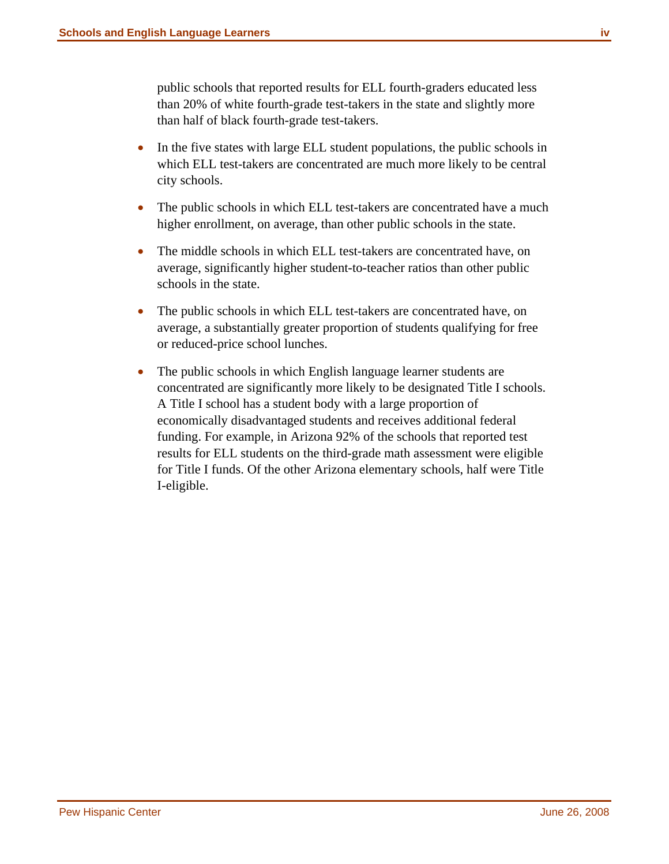public schools that reported results for ELL fourth-graders educated less than 20% of white fourth-grade test-takers in the state and slightly more than half of black fourth-grade test-takers.

- In the five states with large ELL student populations, the public schools in which ELL test-takers are concentrated are much more likely to be central city schools.
- The public schools in which ELL test-takers are concentrated have a much higher enrollment, on average, than other public schools in the state.
- The middle schools in which ELL test-takers are concentrated have, on average, significantly higher student-to-teacher ratios than other public schools in the state.
- The public schools in which ELL test-takers are concentrated have, on average, a substantially greater proportion of students qualifying for free or reduced-price school lunches.
- The public schools in which English language learner students are concentrated are significantly more likely to be designated Title I schools. A Title I school has a student body with a large proportion of economically disadvantaged students and receives additional federal funding. For example, in Arizona 92% of the schools that reported test results for ELL students on the third-grade math assessment were eligible for Title I funds. Of the other Arizona elementary schools, half were Title I-eligible.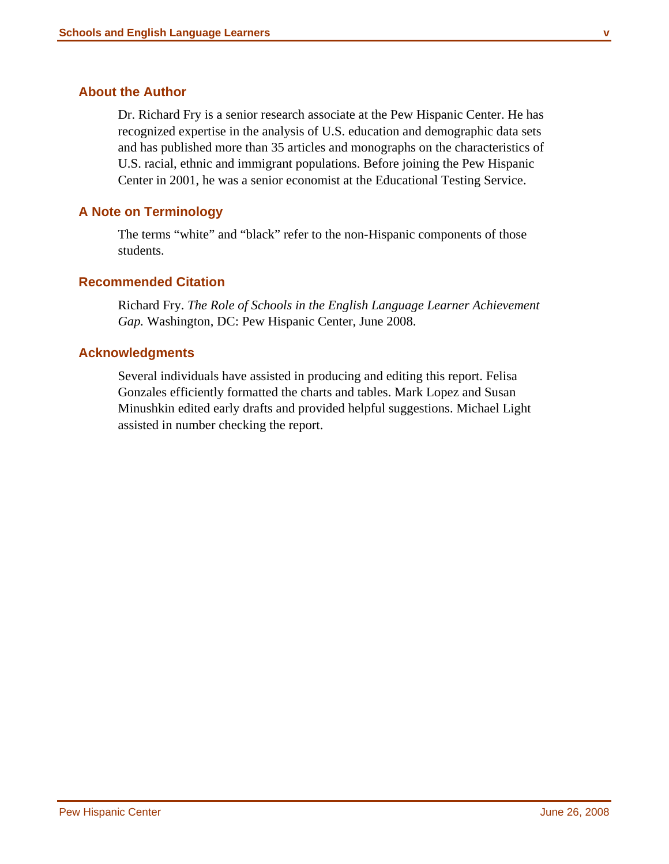#### <span id="page-5-0"></span>**About the Author**

Dr. Richard Fry is a senior research associate at the Pew Hispanic Center. He has recognized expertise in the analysis of U.S. education and demographic data sets and has published more than 35 articles and monographs on the characteristics of U.S. racial, ethnic and immigrant populations. Before joining the Pew Hispanic Center in 2001, he was a senior economist at the Educational Testing Service.

#### **A Note on Terminology**

The terms "white" and "black" refer to the non-Hispanic components of those students.

#### **Recommended Citation**

Richard Fry. *The Role of Schools in the English Language Learner Achievement Gap.* Washington, DC: Pew Hispanic Center, June 2008.

#### **Acknowledgments**

Several individuals have assisted in producing and editing this report. Felisa Gonzales efficiently formatted the charts and tables. Mark Lopez and Susan Minushkin edited early drafts and provided helpful suggestions. Michael Light assisted in number checking the report.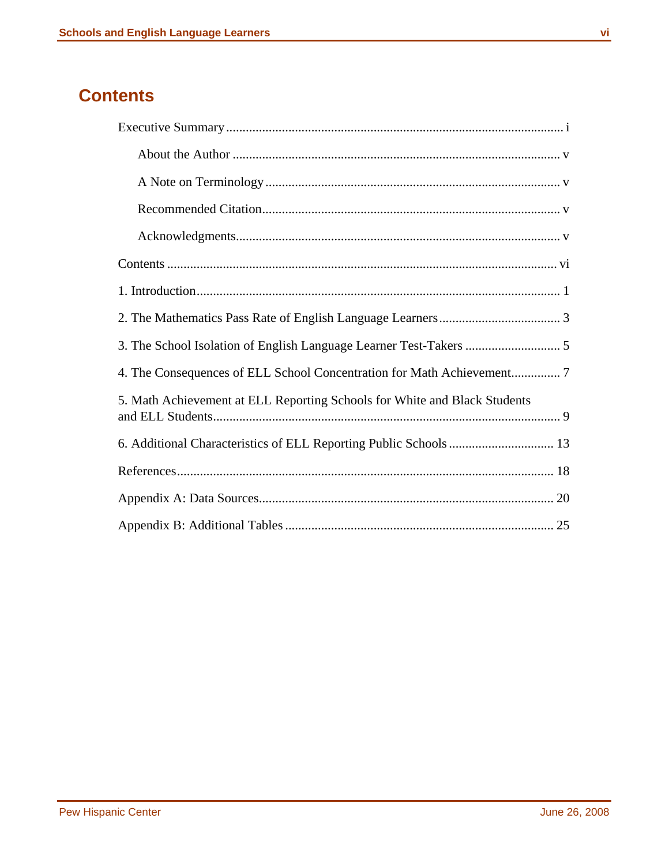#### <span id="page-6-0"></span>**Contents**

| 5. Math Achievement at ELL Reporting Schools for White and Black Students |
|---------------------------------------------------------------------------|
|                                                                           |
|                                                                           |
|                                                                           |
|                                                                           |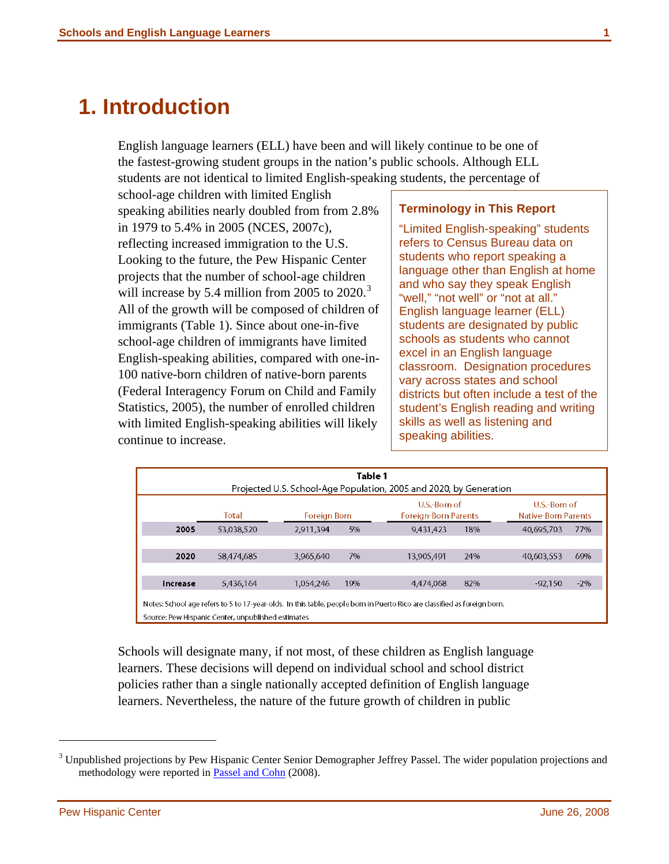### <span id="page-7-0"></span>**1. Introduction**

English language learners (ELL) have been and will likely continue to be one of the fastest-growing student groups in the nation's public schools. Although ELL students are not identical to limited English-speaking students, the percentage of

school-age children with limited English speaking abilities nearly doubled from from 2.8% in 1979 to 5.4% in 2005 (NCES, 2007c), reflecting increased immigration to the U.S. Looking to the future, the Pew Hispanic Center projects that the number of school-age children will increase by 5.4 million from 2005 to  $2020$ .<sup>[3](#page-7-1)</sup> All of the growth will be composed of children of immigrants (Table 1). Since about one-in-five school-age children of immigrants have limited English-speaking abilities, compared with one-in-100 native-born children of native-born parents (Federal Interagency Forum on Child and Family Statistics, 2005), the number of enrolled children with limited English-speaking abilities will likely continue to increase.

#### **Terminology in This Report**

"Limited English-speaking" students refers to Census Bureau data on students who report speaking a language other than English at home and who say they speak English "well," "not well" or "not at all." English language learner (ELL) students are designated by public schools as students who cannot excel in an English language classroom. Designation procedures vary across states and school districts but often include a test of the student's English reading and writing skills as well as listening and speaking abilities.

|          | Table 1<br>Projected U.S. School-Age Population, 2005 and 2020, by Generation |              |     |                                                                                                                          |                                     |        |  |  |  |  |
|----------|-------------------------------------------------------------------------------|--------------|-----|--------------------------------------------------------------------------------------------------------------------------|-------------------------------------|--------|--|--|--|--|
|          | Total                                                                         | Foreign Born |     | U.S.-Rorn of<br><b>Foreign-Born Parents</b>                                                                              | U.S.-Born of<br>Native-Born Parents |        |  |  |  |  |
| 2005     | 53,038,520                                                                    | 2.911,394    | 5%  | 9,431,423<br>18%                                                                                                         | 40,695,703                          | 77%    |  |  |  |  |
|          |                                                                               |              |     |                                                                                                                          |                                     |        |  |  |  |  |
| 2020     | 58,474,685                                                                    | 3.965,640    | 7%  | 13,905.491<br>24%                                                                                                        | 40,603,553                          | 69%    |  |  |  |  |
|          |                                                                               |              |     |                                                                                                                          |                                     |        |  |  |  |  |
| Increase | 5,436,164                                                                     | 1.054.246    | 19% | 82%<br>4,474,068                                                                                                         | $-92.150$                           | $-2\%$ |  |  |  |  |
|          | Source: Pew Hispanic Center, unpublished estimates                            |              |     | Notes: School age refers to 5 to 17-year-olds. In this table, people born in Puerto Rico are classified as foreign born. |                                     |        |  |  |  |  |

Schools will designate many, if not most, of these children as English language learners. These decisions will depend on individual school and school district policies rather than a single nationally accepted definition of English language learners. Nevertheless, the nature of the future growth of children in public

<span id="page-7-1"></span><sup>&</sup>lt;sup>3</sup> Unpublished projections by Pew Hispanic Center Senior Demographer Jeffrey Passel. The wider population projections and methodology were reported in **Passel and Cohn** (2008).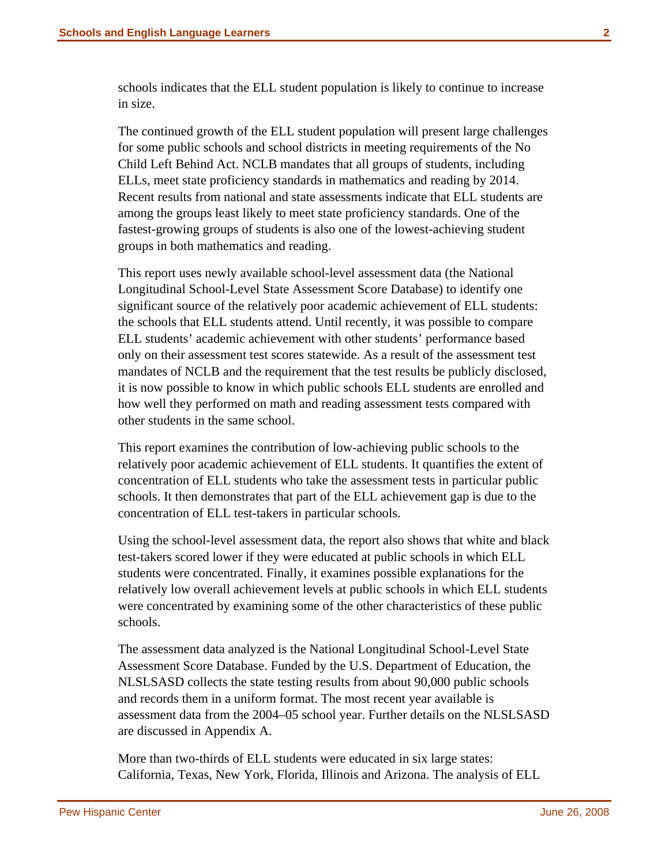schools indicates that the ELL student population is likely to continue to increase in size.

The continued growth of the ELL student population will present large challenges for some public schools and school districts in meeting requirements of the No Child Left Behind Act. NCLB mandates that all groups of students, including ELLs, meet state proficiency standards in mathematics and reading by 2014. Recent results from national and state assessments indicate that ELL students are among the groups least likely to meet state proficiency standards. One of the fastest-growing groups of students is also one of the lowest-achieving student groups in both mathematics and reading.

This report uses newly available school-level assessment data (the National Longitudinal School-Level State Assessment Score Database) to identify one significant source of the relatively poor academic achievement of ELL students: the schools that ELL students attend. Until recently, it was possible to compare ELL students' academic achievement with other students' performance based only on their assessment test scores statewide. As a result of the assessment test mandates of NCLB and the requirement that the test results be publicly disclosed, it is now possible to know in which public schools ELL students are enrolled and how well they performed on math and reading assessment tests compared with other students in the same school.

This report examines the contribution of low-achieving public schools to the relatively poor academic achievement of ELL students. It quantifies the extent of concentration of ELL students who take the assessment tests in particular public schools. It then demonstrates that part of the ELL achievement gap is due to the concentration of ELL test-takers in particular schools.

Using the school-level assessment data, the report also shows that white and black test-takers scored lower if they were educated at public schools in which ELL students were concentrated. Finally, it examines possible explanations for the relatively low overall achievement levels at public schools in which ELL students were concentrated by examining some of the other characteristics of these public schools.

The assessment data analyzed is the National Longitudinal School-Level State Assessment Score Database. Funded by the U.S. Department of Education, the NLSLSASD collects the state testing results from about 90,000 public schools and records them in a uniform format. The most recent year available is assessment data from the 2004–05 school year. Further details on the NLSLSASD are discussed in Appendix A.

More than two-thirds of ELL students were educated in six large states: California, Texas, New York, Florida, Illinois and Arizona. The analysis of ELL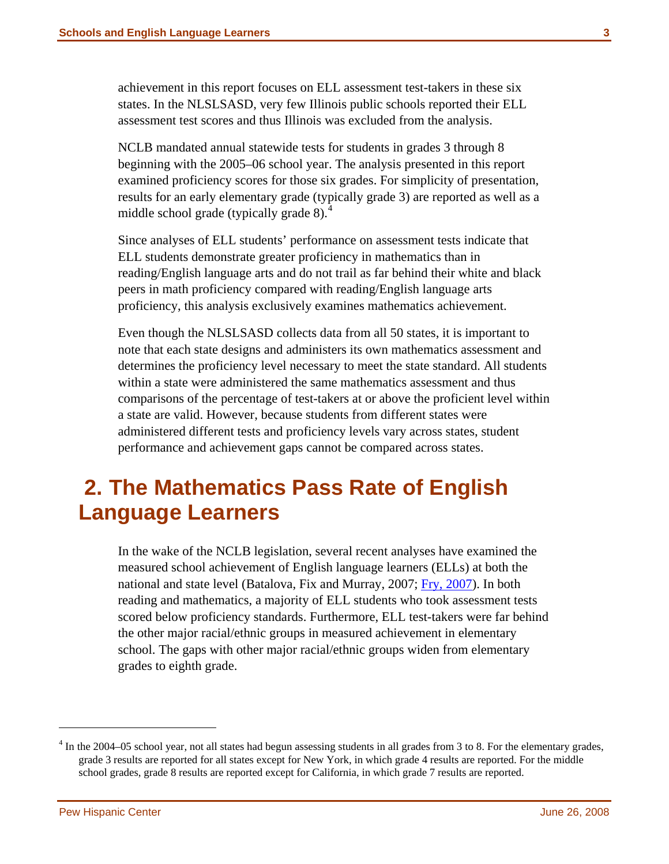<span id="page-9-0"></span>achievement in this report focuses on ELL assessment test-takers in these six states. In the NLSLSASD, very few Illinois public schools reported their ELL assessment test scores and thus Illinois was excluded from the analysis.

NCLB mandated annual statewide tests for students in grades 3 through 8 beginning with the 2005–06 school year. The analysis presented in this report examined proficiency scores for those six grades. For simplicity of presentation, results for an early elementary grade (typically grade 3) are reported as well as a middle school grade (typically grade 8).<sup>[4](#page-9-1)</sup>

Since analyses of ELL students' performance on assessment tests indicate that ELL students demonstrate greater proficiency in mathematics than in reading/English language arts and do not trail as far behind their white and black peers in math proficiency compared with reading/English language arts proficiency, this analysis exclusively examines mathematics achievement.

Even though the NLSLSASD collects data from all 50 states, it is important to note that each state designs and administers its own mathematics assessment and determines the proficiency level necessary to meet the state standard. All students within a state were administered the same mathematics assessment and thus comparisons of the percentage of test-takers at or above the proficient level within a state are valid. However, because students from different states were administered different tests and proficiency levels vary across states, student performance and achievement gaps cannot be compared across states.

### **2. The Mathematics Pass Rate of English Language Learners**

In the wake of the NCLB legislation, several recent analyses have examined the measured school achievement of English language learners (ELLs) at both the national and state level (Batalova, Fix and Murray, 2007; [Fry, 2007](http://pewhispanic.org/files/reports/76.pdf)). In both reading and mathematics, a majority of ELL students who took assessment tests scored below proficiency standards. Furthermore, ELL test-takers were far behind the other major racial/ethnic groups in measured achievement in elementary school. The gaps with other major racial/ethnic groups widen from elementary grades to eighth grade.

<span id="page-9-1"></span> $4 \text{ In the } 2004-05 \text{ school year, not all states had begun assessing students in all grades from } 3 \text{ to } 8.$  For the elementary grades, grade 3 results are reported for all states except for New York, in which grade 4 results are reported. For the middle school grades, grade 8 results are reported except for California, in which grade 7 results are reported.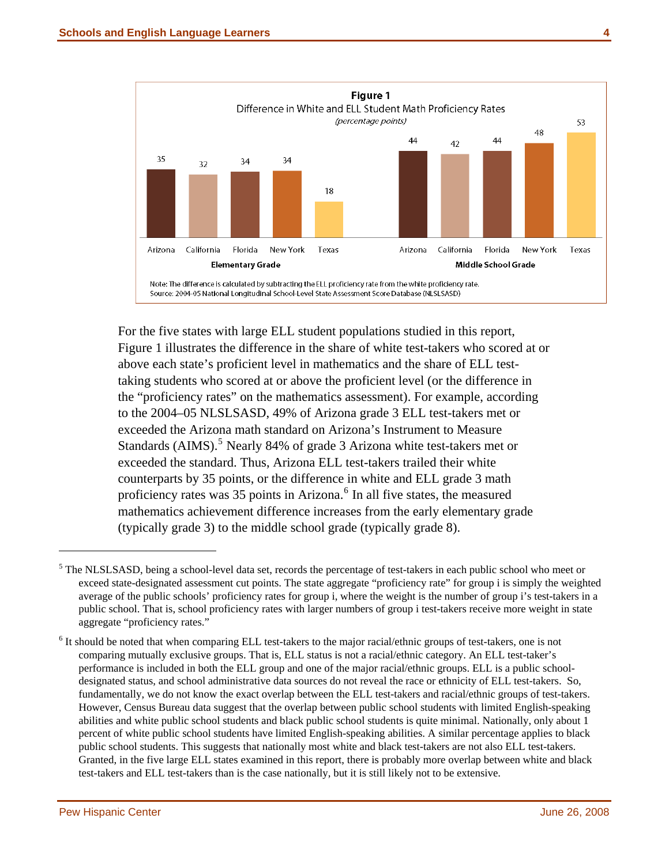

For the five states with large ELL student populations studied in this report, Figure 1 illustrates the difference in the share of white test-takers who scored at or above each state's proficient level in mathematics and the share of ELL testtaking students who scored at or above the proficient level (or the difference in the "proficiency rates" on the mathematics assessment). For example, according to the 2004–05 NLSLSASD, 49% of Arizona grade 3 ELL test-takers met or exceeded the Arizona math standard on Arizona's Instrument to Measure Standards (AIMS).<sup>[5](#page-10-0)</sup> Nearly 84% of grade 3 Arizona white test-takers met or exceeded the standard. Thus, Arizona ELL test-takers trailed their white counterparts by 35 points, or the difference in white and ELL grade 3 math proficiency rates was 35 points in Arizona.<sup>[6](#page-10-1)</sup> In all five states, the measured mathematics achievement difference increases from the early elementary grade (typically grade 3) to the middle school grade (typically grade 8).

<span id="page-10-0"></span><sup>&</sup>lt;sup>5</sup> The NLSLSASD, being a school-level data set, records the percentage of test-takers in each public school who meet or exceed state-designated assessment cut points. The state aggregate "proficiency rate" for group i is simply the weighted average of the public schools' proficiency rates for group i, where the weight is the number of group i's test-takers in a public school. That is, school proficiency rates with larger numbers of group i test-takers receive more weight in state aggregate "proficiency rates."

<span id="page-10-1"></span> $6$  It should be noted that when comparing ELL test-takers to the major racial/ethnic groups of test-takers, one is not comparing mutually exclusive groups. That is, ELL status is not a racial/ethnic category. An ELL test-taker's performance is included in both the ELL group and one of the major racial/ethnic groups. ELL is a public schooldesignated status, and school administrative data sources do not reveal the race or ethnicity of ELL test-takers. So, fundamentally, we do not know the exact overlap between the ELL test-takers and racial/ethnic groups of test-takers. However, Census Bureau data suggest that the overlap between public school students with limited English-speaking abilities and white public school students and black public school students is quite minimal. Nationally, only about 1 percent of white public school students have limited English-speaking abilities. A similar percentage applies to black public school students. This suggests that nationally most white and black test-takers are not also ELL test-takers. Granted, in the five large ELL states examined in this report, there is probably more overlap between white and black test-takers and ELL test-takers than is the case nationally, but it is still likely not to be extensive.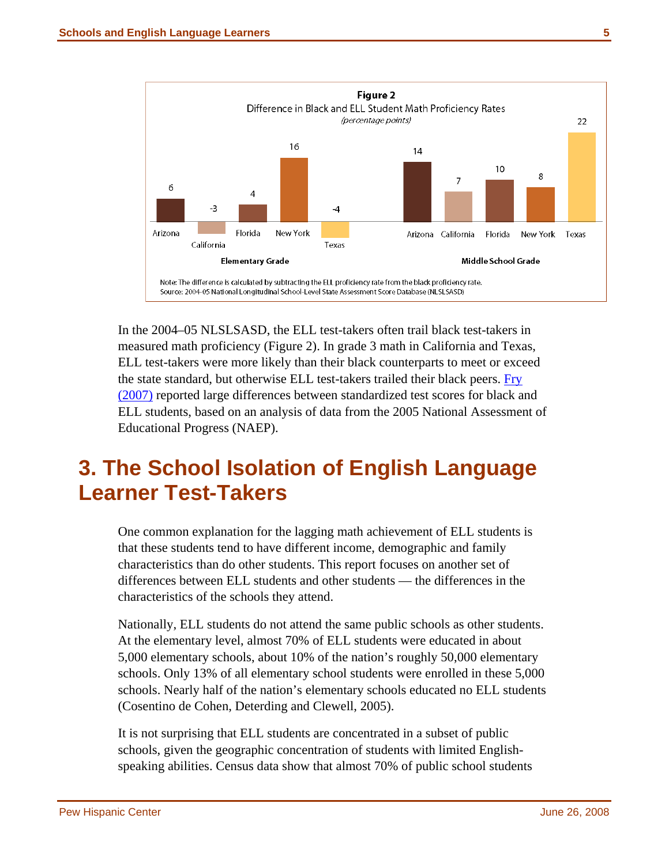<span id="page-11-0"></span>

In the 2004–05 NLSLSASD, the ELL test-takers often trail black test-takers in measured math proficiency (Figure 2). In grade 3 math in California and Texas, ELL test-takers were more likely than their black counterparts to meet or exceed the state standard, but otherwise ELL test-takers trailed their black peers. [Fry](http://pewhispanic.org/files/reports/79.pdf)  [\(2007\)](http://pewhispanic.org/files/reports/79.pdf) reported large differences between standardized test scores for black and ELL students, based on an analysis of data from the 2005 National Assessment of Educational Progress (NAEP).

## **3. The School Isolation of English Language Learner Test-Takers**

One common explanation for the lagging math achievement of ELL students is that these students tend to have different income, demographic and family characteristics than do other students. This report focuses on another set of differences between ELL students and other students — the differences in the characteristics of the schools they attend.

Nationally, ELL students do not attend the same public schools as other students. At the elementary level, almost 70% of ELL students were educated in about 5,000 elementary schools, about 10% of the nation's roughly 50,000 elementary schools. Only 13% of all elementary school students were enrolled in these 5,000 schools. Nearly half of the nation's elementary schools educated no ELL students (Cosentino de Cohen, Deterding and Clewell, 2005).

It is not surprising that ELL students are concentrated in a subset of public schools, given the geographic concentration of students with limited Englishspeaking abilities. Census data show that almost 70% of public school students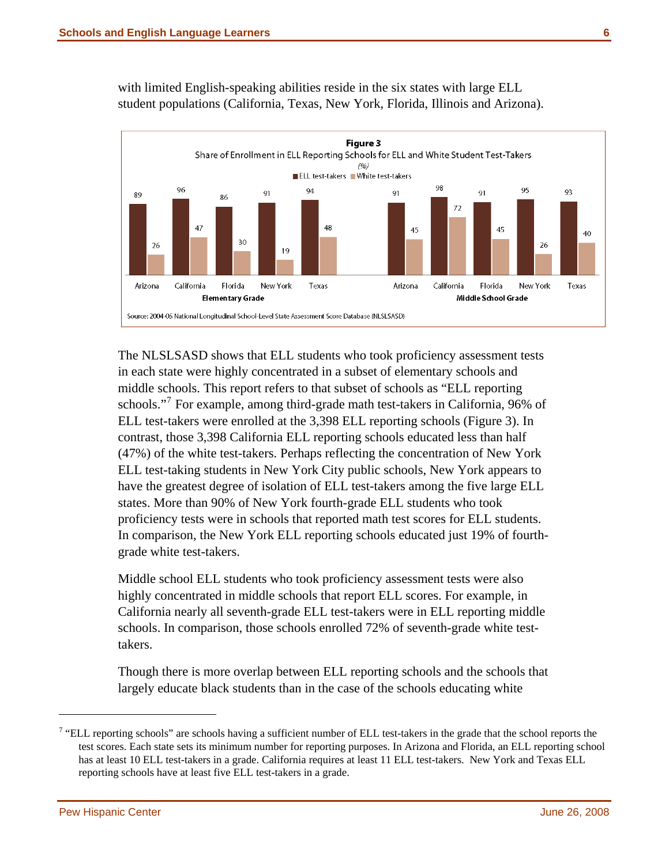

with limited English-speaking abilities reside in the six states with large ELL student populations (California, Texas, New York, Florida, Illinois and Arizona).

The NLSLSASD shows that ELL students who took proficiency assessment tests in each state were highly concentrated in a subset of elementary schools and middle schools. This report refers to that subset of schools as "ELL reporting schools."<sup>[7](#page-12-0)</sup> For example, among third-grade math test-takers in California, 96% of ELL test-takers were enrolled at the 3,398 ELL reporting schools (Figure 3). In contrast, those 3,398 California ELL reporting schools educated less than half (47%) of the white test-takers. Perhaps reflecting the concentration of New York ELL test-taking students in New York City public schools, New York appears to have the greatest degree of isolation of ELL test-takers among the five large ELL states. More than 90% of New York fourth-grade ELL students who took proficiency tests were in schools that reported math test scores for ELL students. In comparison, the New York ELL reporting schools educated just 19% of fourthgrade white test-takers.

Middle school ELL students who took proficiency assessment tests were also highly concentrated in middle schools that report ELL scores. For example, in California nearly all seventh-grade ELL test-takers were in ELL reporting middle schools. In comparison, those schools enrolled 72% of seventh-grade white testtakers.

Though there is more overlap between ELL reporting schools and the schools that largely educate black students than in the case of the schools educating white

<span id="page-12-0"></span> $7$  "ELL reporting schools" are schools having a sufficient number of ELL test-takers in the grade that the school reports the test scores. Each state sets its minimum number for reporting purposes. In Arizona and Florida, an ELL reporting school has at least 10 ELL test-takers in a grade. California requires at least 11 ELL test-takers. New York and Texas ELL reporting schools have at least five ELL test-takers in a grade.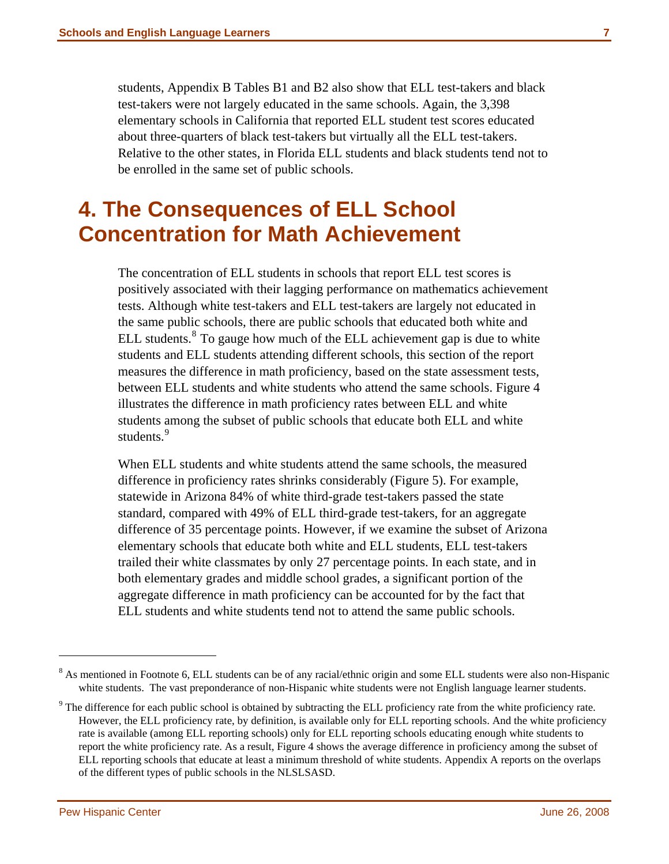<span id="page-13-0"></span>students, Appendix B Tables B1 and B2 also show that ELL test-takers and black test-takers were not largely educated in the same schools. Again, the 3,398 elementary schools in California that reported ELL student test scores educated about three-quarters of black test-takers but virtually all the ELL test-takers. Relative to the other states, in Florida ELL students and black students tend not to be enrolled in the same set of public schools.

### **4. The Consequences of ELL School Concentration for Math Achievement**

The concentration of ELL students in schools that report ELL test scores is positively associated with their lagging performance on mathematics achievement tests. Although white test-takers and ELL test-takers are largely not educated in the same public schools, there are public schools that educated both white and ELL students. $8^8$  $8^8$  To gauge how much of the ELL achievement gap is due to white students and ELL students attending different schools, this section of the report measures the difference in math proficiency, based on the state assessment tests, between ELL students and white students who attend the same schools. Figure 4 illustrates the difference in math proficiency rates between ELL and white students among the subset of public schools that educate both ELL and white students.<sup>[9](#page-13-2)</sup>

When ELL students and white students attend the same schools, the measured difference in proficiency rates shrinks considerably (Figure 5). For example, statewide in Arizona 84% of white third-grade test-takers passed the state standard, compared with 49% of ELL third-grade test-takers, for an aggregate difference of 35 percentage points. However, if we examine the subset of Arizona elementary schools that educate both white and ELL students, ELL test-takers trailed their white classmates by only 27 percentage points. In each state, and in both elementary grades and middle school grades, a significant portion of the aggregate difference in math proficiency can be accounted for by the fact that ELL students and white students tend not to attend the same public schools.

<span id="page-13-1"></span><sup>&</sup>lt;sup>8</sup> As mentioned in Footnote 6, ELL students can be of any racial/ethnic origin and some ELL students were also non-Hispanic white students. The vast preponderance of non-Hispanic white students were not English language learner students.

<span id="page-13-2"></span> $9$  The difference for each public school is obtained by subtracting the ELL proficiency rate from the white proficiency rate. However, the ELL proficiency rate, by definition, is available only for ELL reporting schools. And the white proficiency rate is available (among ELL reporting schools) only for ELL reporting schools educating enough white students to report the white proficiency rate. As a result, Figure 4 shows the average difference in proficiency among the subset of ELL reporting schools that educate at least a minimum threshold of white students. Appendix A reports on the overlaps of the different types of public schools in the NLSLSASD.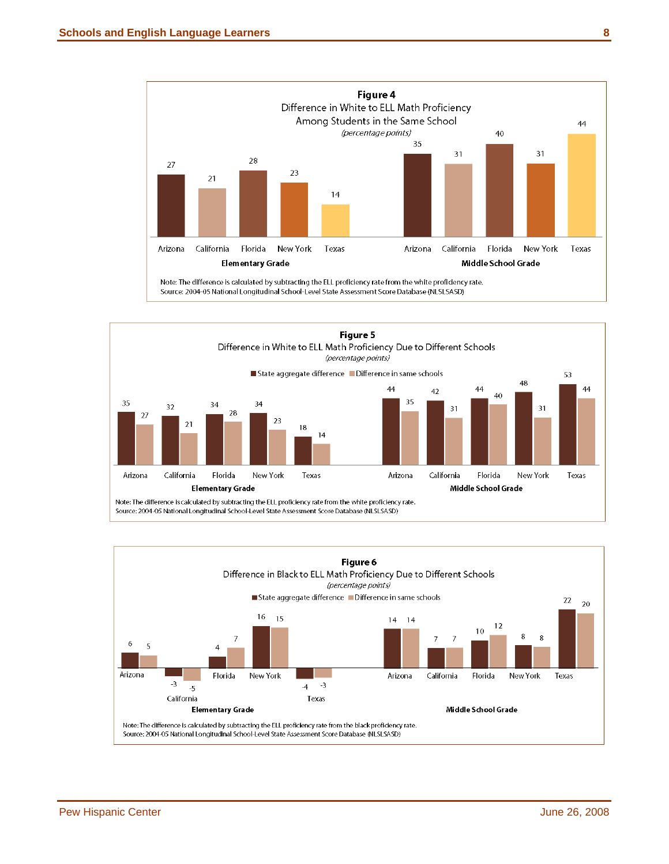



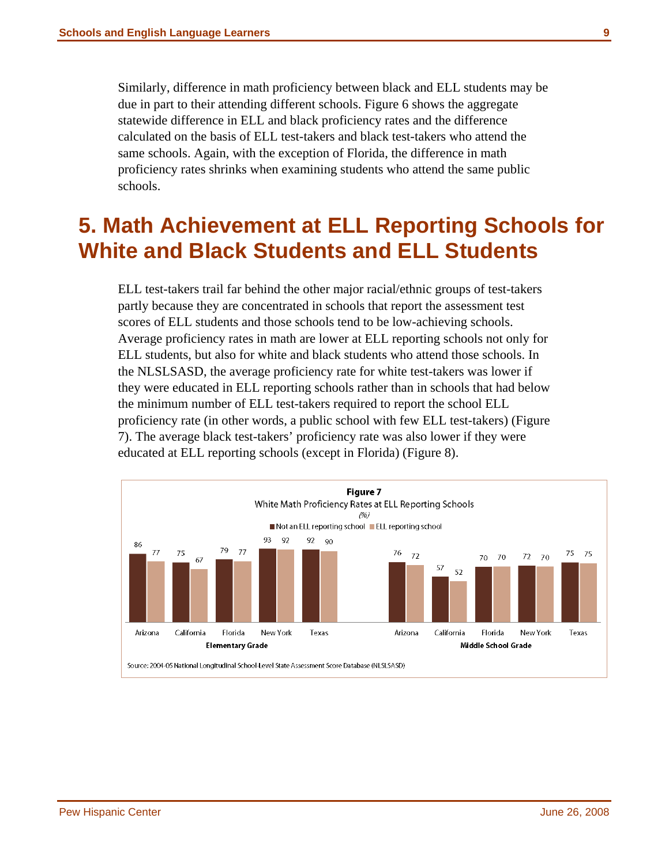<span id="page-15-0"></span>Similarly, difference in math proficiency between black and ELL students may be due in part to their attending different schools. Figure 6 shows the aggregate statewide difference in ELL and black proficiency rates and the difference calculated on the basis of ELL test-takers and black test-takers who attend the same schools. Again, with the exception of Florida, the difference in math proficiency rates shrinks when examining students who attend the same public schools.

### **5. Math Achievement at ELL Reporting Schools for White and Black Students and ELL Students**

ELL test-takers trail far behind the other major racial/ethnic groups of test-takers partly because they are concentrated in schools that report the assessment test scores of ELL students and those schools tend to be low-achieving schools. Average proficiency rates in math are lower at ELL reporting schools not only for ELL students, but also for white and black students who attend those schools. In the NLSLSASD, the average proficiency rate for white test-takers was lower if they were educated in ELL reporting schools rather than in schools that had below the minimum number of ELL test-takers required to report the school ELL proficiency rate (in other words, a public school with few ELL test-takers) (Figure 7). The average black test-takers' proficiency rate was also lower if they were educated at ELL reporting schools (except in Florida) (Figure 8).

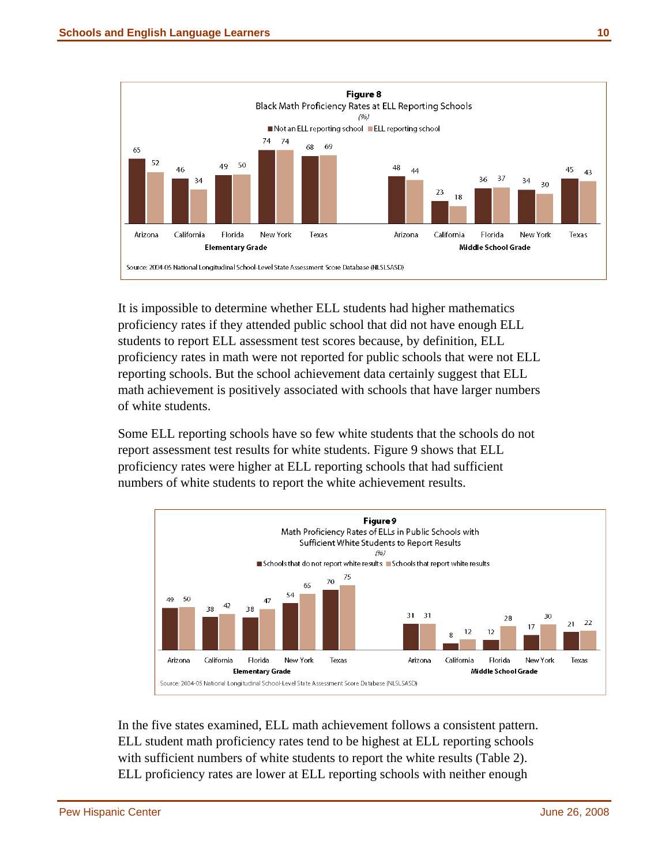

It is impossible to determine whether ELL students had higher mathematics proficiency rates if they attended public school that did not have enough ELL students to report ELL assessment test scores because, by definition, ELL proficiency rates in math were not reported for public schools that were not ELL reporting schools. But the school achievement data certainly suggest that ELL math achievement is positively associated with schools that have larger numbers of white students.

Some ELL reporting schools have so few white students that the schools do not report assessment test results for white students. Figure 9 shows that ELL proficiency rates were higher at ELL reporting schools that had sufficient numbers of white students to report the white achievement results.



In the five states examined, ELL math achievement follows a consistent pattern. ELL student math proficiency rates tend to be highest at ELL reporting schools with sufficient numbers of white students to report the white results (Table 2). ELL proficiency rates are lower at ELL reporting schools with neither enough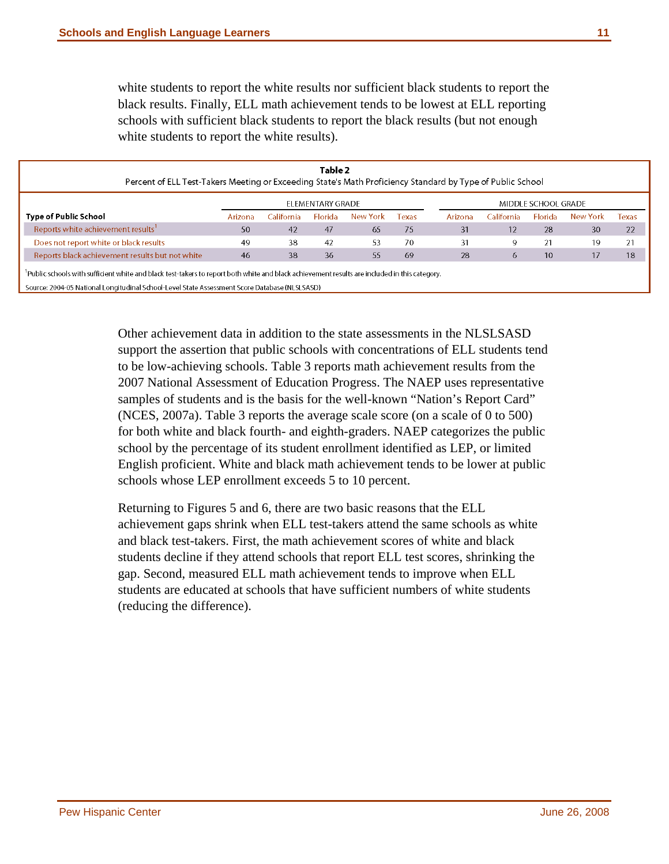white students to report the white results nor sufficient black students to report the black results. Finally, ELL math achievement tends to be lowest at ELL reporting schools with sufficient black students to report the black results (but not enough white students to report the white results).

| Table 2<br>Percent of ELL Test-Takers Meeting or Exceeding State's Math Proficiency Standard by Type of Public School                        |                                         |             |         |          |       |         |             |                |          |       |
|----------------------------------------------------------------------------------------------------------------------------------------------|-----------------------------------------|-------------|---------|----------|-------|---------|-------------|----------------|----------|-------|
|                                                                                                                                              | ELEMENTARY GRADE<br>MIDDLE SCHOOL GRADE |             |         |          |       |         |             |                |          |       |
| <b>Type of Public School</b>                                                                                                                 | Arizona                                 | California: | Florida | New York | Texas | Arizona | California: | <b>Florida</b> | New York | Texas |
| Reports white achievement results                                                                                                            | 50                                      | 42          | 47      | 65       | 75    | 31      | 12          | 28             | 30       | 22    |
| Does not report white or black results                                                                                                       | 49                                      | 38          | 42      | 53       | 70    | 31      |             |                | 19       | 21    |
| Reports black achievement results but not white                                                                                              | 46                                      | 38          | 36      | 55       | 69    | 28      |             | 10             | 17       | 18    |
| Public schools with sufficient white and black test-takers to report both white and black achievement results are included in this category. |                                         |             |         |          |       |         |             |                |          |       |

Source: 2004-05 National Longitudinal School-Level State Assessment Score Database (NLSLSASD)

Other achievement data in addition to the state assessments in the NLSLSASD support the assertion that public schools with concentrations of ELL students tend to be low-achieving schools. Table 3 reports math achievement results from the 2007 National Assessment of Education Progress. The NAEP uses representative samples of students and is the basis for the well-known "Nation's Report Card" (NCES, 2007a). Table 3 reports the average scale score (on a scale of 0 to 500) for both white and black fourth- and eighth-graders. NAEP categorizes the public school by the percentage of its student enrollment identified as LEP, or limited English proficient. White and black math achievement tends to be lower at public schools whose LEP enrollment exceeds 5 to 10 percent.

Returning to Figures 5 and 6, there are two basic reasons that the ELL achievement gaps shrink when ELL test-takers attend the same schools as white and black test-takers. First, the math achievement scores of white and black students decline if they attend schools that report ELL test scores, shrinking the gap. Second, measured ELL math achievement tends to improve when ELL students are educated at schools that have sufficient numbers of white students (reducing the difference).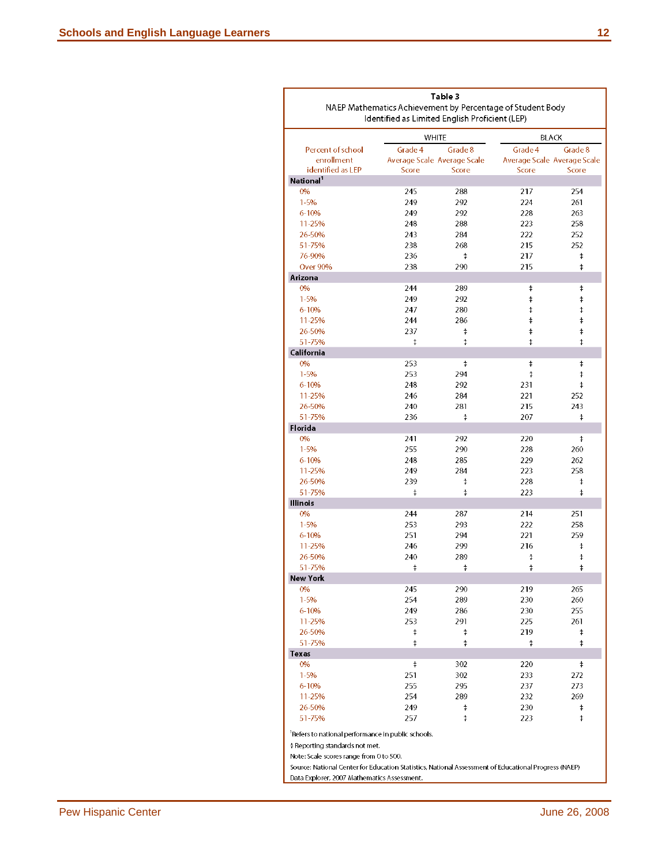|                                                                                                      | Table 3<br>NAEP Mathematics Achievement by Percentage of Student Body<br>Identified as Limited English Proficient (LEP) |                             |                             |            |  |  |  |  |  |
|------------------------------------------------------------------------------------------------------|-------------------------------------------------------------------------------------------------------------------------|-----------------------------|-----------------------------|------------|--|--|--|--|--|
|                                                                                                      | <b>WHITE</b>                                                                                                            |                             | <b>BLACK</b>                |            |  |  |  |  |  |
| Percent of school                                                                                    | Grade 4                                                                                                                 | Grade 8                     | Grade 4                     | Grade 8    |  |  |  |  |  |
| enrollment                                                                                           |                                                                                                                         | Average Scale Average Scale | Average Scale Average Scale |            |  |  |  |  |  |
| identified as LEP                                                                                    | Score                                                                                                                   | Score                       | Score                       | Score      |  |  |  |  |  |
| National <sup>1</sup>                                                                                |                                                                                                                         |                             |                             |            |  |  |  |  |  |
| 0%                                                                                                   | 245                                                                                                                     | 288                         | 217                         | 254        |  |  |  |  |  |
| $1 - 5%$                                                                                             | 249                                                                                                                     | 292                         | 224                         | 261        |  |  |  |  |  |
| 6-10%                                                                                                | 249                                                                                                                     | 292                         | 228                         | 263        |  |  |  |  |  |
| 11-25%                                                                                               | 248                                                                                                                     | 288                         | 223                         | 258        |  |  |  |  |  |
| 26-50%                                                                                               | 243                                                                                                                     | 284                         | 222                         | 252        |  |  |  |  |  |
| 51-75%                                                                                               | 238                                                                                                                     | 268                         | 215                         | 252        |  |  |  |  |  |
| 76-90%<br><b>Over 90%</b>                                                                            | 236                                                                                                                     | ŧ                           | 217                         | $\ddagger$ |  |  |  |  |  |
| Arizona                                                                                              | 238                                                                                                                     | 290                         | 215                         | $\ddagger$ |  |  |  |  |  |
| 0%                                                                                                   | 244                                                                                                                     | 289                         | $\ddagger$                  | $\ddagger$ |  |  |  |  |  |
| $1 - 5%$                                                                                             | 249                                                                                                                     | 292                         | $\ddagger$                  | ŧ          |  |  |  |  |  |
| $6 - 10%$                                                                                            | 247                                                                                                                     | 280                         | $\ddagger$                  | ŧ          |  |  |  |  |  |
| 11-25%                                                                                               | 244                                                                                                                     | 286                         | $\ddagger$                  | $\ddagger$ |  |  |  |  |  |
| 26-50%                                                                                               | 237                                                                                                                     | ŧ                           | $\ddagger$                  | $\ddagger$ |  |  |  |  |  |
| 51-75%                                                                                               | ŧ                                                                                                                       | ŧ                           | $\ddagger$                  | ŧ          |  |  |  |  |  |
| California                                                                                           |                                                                                                                         |                             |                             |            |  |  |  |  |  |
| 0%                                                                                                   | 253                                                                                                                     | ŧ                           | $\ddagger$                  | ŧ          |  |  |  |  |  |
| $1 - 5%$                                                                                             | 253                                                                                                                     | 294                         | $\ddagger$                  | $\ddagger$ |  |  |  |  |  |
| 6-10%                                                                                                | 248                                                                                                                     | 292                         | 231                         | $^\ddag$   |  |  |  |  |  |
| 11-25%                                                                                               | 246                                                                                                                     | 284                         | 221                         | 252        |  |  |  |  |  |
| 26-50%                                                                                               | 240                                                                                                                     | 281                         | 215                         | 243        |  |  |  |  |  |
| 51-75%                                                                                               | 236                                                                                                                     | ŧ                           | 207                         | ŧ          |  |  |  |  |  |
| Florida                                                                                              |                                                                                                                         |                             |                             |            |  |  |  |  |  |
| 0%                                                                                                   | 241                                                                                                                     | 292                         | 220                         | $\ddagger$ |  |  |  |  |  |
| $1 - 5%$                                                                                             | 255                                                                                                                     | 290                         | 228                         | 260        |  |  |  |  |  |
| $6 - 10%$                                                                                            | 248                                                                                                                     | 285                         | 229                         | 262        |  |  |  |  |  |
| 11-25%                                                                                               | 249                                                                                                                     | 284                         | 223                         | 258        |  |  |  |  |  |
| 26-50%                                                                                               | 239<br>$\ddagger$                                                                                                       | ŧ                           | 228                         | ŧ          |  |  |  |  |  |
| 51-75%<br>Illinois                                                                                   |                                                                                                                         | ŧ                           | 223                         | ŧ          |  |  |  |  |  |
| 0%                                                                                                   | 244                                                                                                                     | 287                         | 214                         | 251        |  |  |  |  |  |
| $1 - 5%$                                                                                             | 253                                                                                                                     | 293                         | 222                         | 258        |  |  |  |  |  |
| $6 - 10%$                                                                                            | 251                                                                                                                     | 294                         | 221                         | 259        |  |  |  |  |  |
| 11-25%                                                                                               | 246                                                                                                                     | 299                         | 216                         | ŧ          |  |  |  |  |  |
| 26-50%                                                                                               | 240                                                                                                                     | 289                         | $\ddagger$                  | $\ddagger$ |  |  |  |  |  |
| 51-75%                                                                                               | ŧ                                                                                                                       | ŧ                           | $\ddagger$                  | $\ddagger$ |  |  |  |  |  |
| New York                                                                                             |                                                                                                                         |                             |                             |            |  |  |  |  |  |
| 0%                                                                                                   | 245                                                                                                                     | 290                         | 219                         | 265        |  |  |  |  |  |
| $1 - 5%$                                                                                             | 254                                                                                                                     | 289                         | 230                         | 260        |  |  |  |  |  |
| 6-10%                                                                                                | 249                                                                                                                     | 286                         | 230                         | 255        |  |  |  |  |  |
| 11-25%                                                                                               | 253                                                                                                                     | 291                         | 225                         | 261        |  |  |  |  |  |
| 26-50%                                                                                               | ŧ                                                                                                                       | ŧ                           | 219                         | ŧ          |  |  |  |  |  |
| 51-75%                                                                                               | ŧ                                                                                                                       | ŧ                           | ŧ                           | ŧ          |  |  |  |  |  |
| Texas                                                                                                |                                                                                                                         |                             |                             |            |  |  |  |  |  |
| 0%                                                                                                   | ŧ                                                                                                                       | 302                         | 220                         | ŧ          |  |  |  |  |  |
| $1 - 5%$                                                                                             | 251                                                                                                                     | 302                         | 233                         | 272        |  |  |  |  |  |
| 6-10%                                                                                                | 255                                                                                                                     | 295                         | 237                         | 273        |  |  |  |  |  |
| 11-25%                                                                                               | 254                                                                                                                     | 289                         | 232                         | 269        |  |  |  |  |  |
| 26-50%                                                                                               | 249                                                                                                                     | ŧ                           | 230                         | ŧ          |  |  |  |  |  |
| 51-75%                                                                                               | 257                                                                                                                     | ŧ                           | 223                         | $\ddagger$ |  |  |  |  |  |
| Refers to national performance in public schools.                                                    |                                                                                                                         |                             |                             |            |  |  |  |  |  |
| ‡ Reporting standards not met.                                                                       |                                                                                                                         |                             |                             |            |  |  |  |  |  |
| Note: Scale scores range from 0 to 500.                                                              |                                                                                                                         |                             |                             |            |  |  |  |  |  |
| Source: National Center for Education Statistics, National Assessment of Educational Progress (NAEP) |                                                                                                                         |                             |                             |            |  |  |  |  |  |
| Data Explorer, 2007 Mathematics Assessment.                                                          |                                                                                                                         |                             |                             |            |  |  |  |  |  |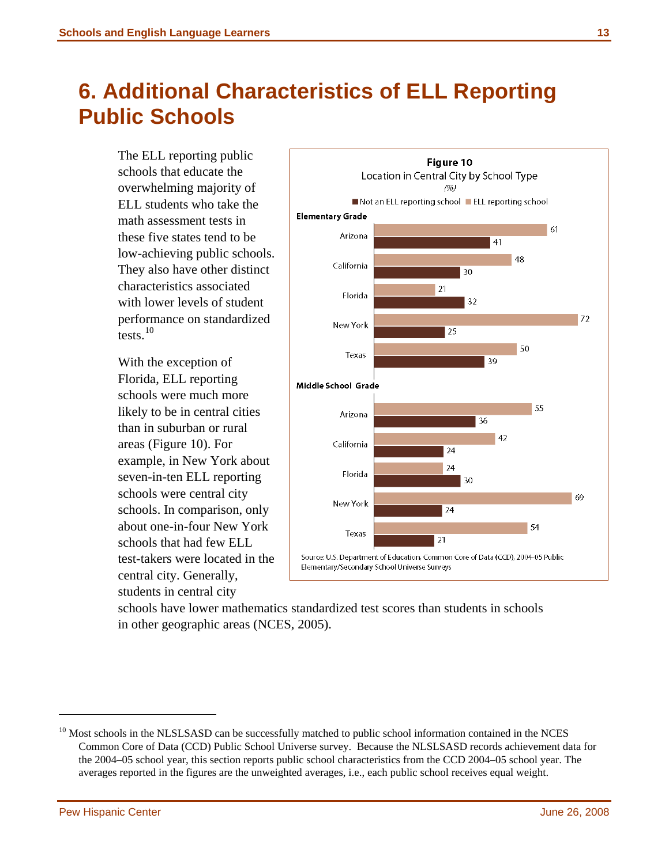## <span id="page-19-0"></span>**6. Additional Characteristics of ELL Reporting Public Schools**

The ELL reporting public schools that educate the overwhelming majority of ELL students who take the math assessment tests in these five states tend to be low-achieving public schools. They also have other distinct characteristics associated with lower levels of student performance on standardized tests. $10$ 

With the exception of Florida, ELL reporting schools were much more likely to be in central cities than in suburban or rural areas (Figure 10). For example, in New York about seven-in-ten ELL reporting schools were central city schools. In comparison, only about one-in-four New York schools that had few ELL test-takers were located in the central city. Generally, students in central city



schools have lower mathematics standardized test scores than students in schools in other geographic areas (NCES, 2005).

<span id="page-19-1"></span><sup>&</sup>lt;sup>10</sup> Most schools in the NLSLSASD can be successfully matched to public school information contained in the NCES Common Core of Data (CCD) Public School Universe survey. Because the NLSLSASD records achievement data for the 2004–05 school year, this section reports public school characteristics from the CCD 2004–05 school year. The averages reported in the figures are the unweighted averages, i.e., each public school receives equal weight.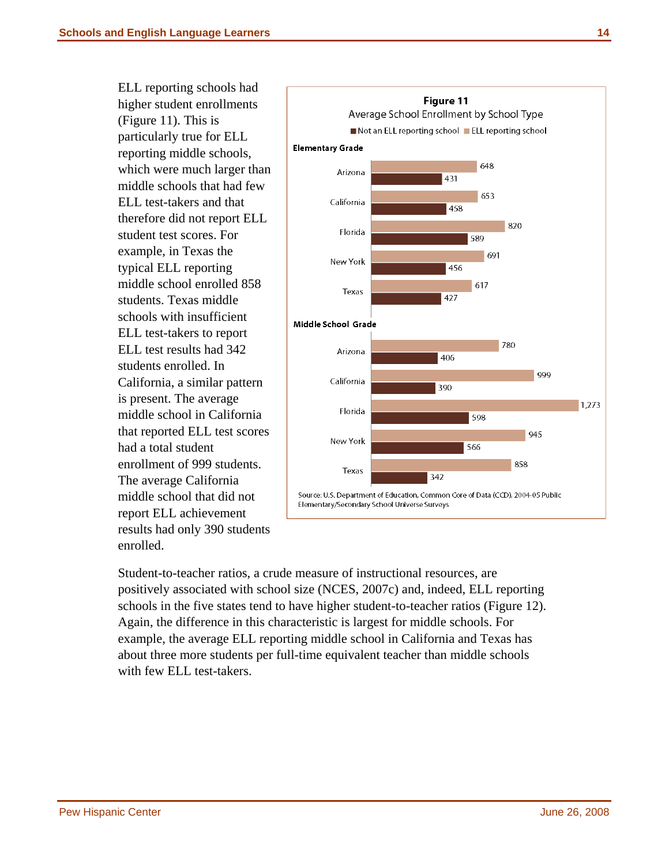ELL reporting schools had higher student enrollments (Figure 11). This is particularly true for ELL reporting middle schools, which were much larger than middle schools that had few ELL test-takers and that therefore did not report ELL student test scores. For example, in Texas the typical ELL reporting middle school enrolled 858 students. Texas middle schools with insufficient ELL test-takers to report ELL test results had 342 students enrolled. In California, a similar pattern is present. The average middle school in California that reported ELL test scores had a total student enrollment of 999 students. The average California middle school that did not report ELL achievement results had only 390 students enrolled.



Student-to-teacher ratios, a crude measure of instructional resources, are positively associated with school size (NCES, 2007c) and, indeed, ELL reporting schools in the five states tend to have higher student-to-teacher ratios (Figure 12). Again, the difference in this characteristic is largest for middle schools. For example, the average ELL reporting middle school in California and Texas has about three more students per full-time equivalent teacher than middle schools with few ELL test-takers.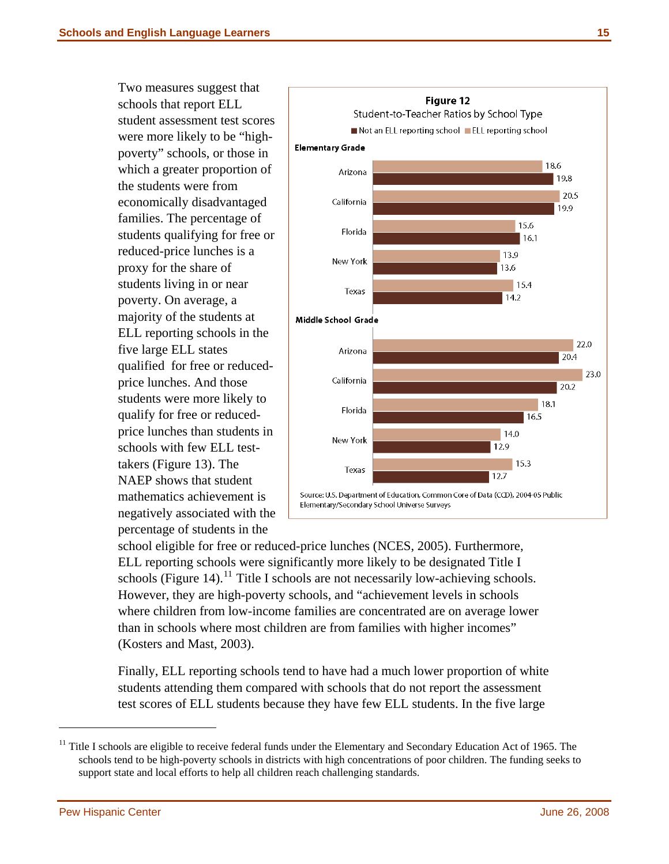Two measures suggest that schools that report ELL student assessment test scores were more likely to be "highpoverty" schools, or those in which a greater proportion of the students were from economically disadvantaged families. The percentage of students qualifying for free or reduced-price lunches is a proxy for the share of students living in or near poverty. On average, a majority of the students at ELL reporting schools in the five large ELL states qualified for free or reducedprice lunches. And those students were more likely to qualify for free or reducedprice lunches than students in schools with few ELL testtakers (Figure 13). The NAEP shows that student mathematics achievement is negatively associated with the percentage of students in the



school eligible for free or reduced-price lunches (NCES, 2005). Furthermore, ELL reporting schools were significantly more likely to be designated Title I schools (Figure 14).<sup>[11](#page-21-0)</sup> Title I schools are not necessarily low-achieving schools. However, they are high-poverty schools, and "achievement levels in schools where children from low-income families are concentrated are on average lower than in schools where most children are from families with higher incomes" (Kosters and Mast, 2003).

test scores of ELL students because they have few ELL students. In the five large Finally, ELL reporting schools tend to have had a much lower proportion of white students attending them compared with schools that do not report the assessment

<span id="page-21-0"></span><sup>&</sup>lt;sup>11</sup> Title I schools are eligible to receive federal funds under the Elementary and Secondary Education Act of 1965. The schools tend to be high-poverty schools in districts with high concentrations of poor children. The funding seeks to support state and local efforts to help all children reach challenging standards.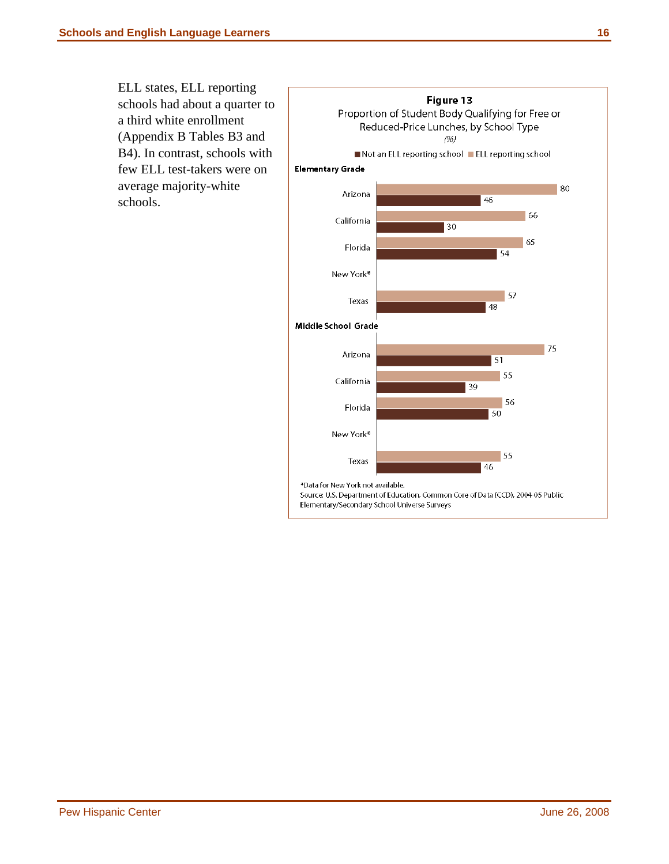ELL states, ELL reporting schools had about a quarter to a third white enrollment (Appendix B Tables B3 and B4). In contrast, schools with few ELL test-takers were on average majority-white schools.

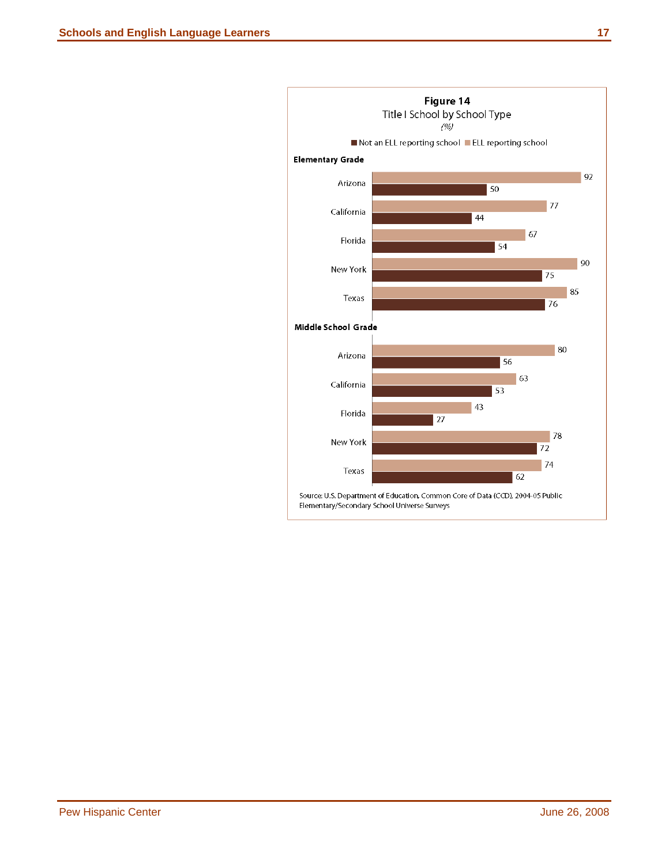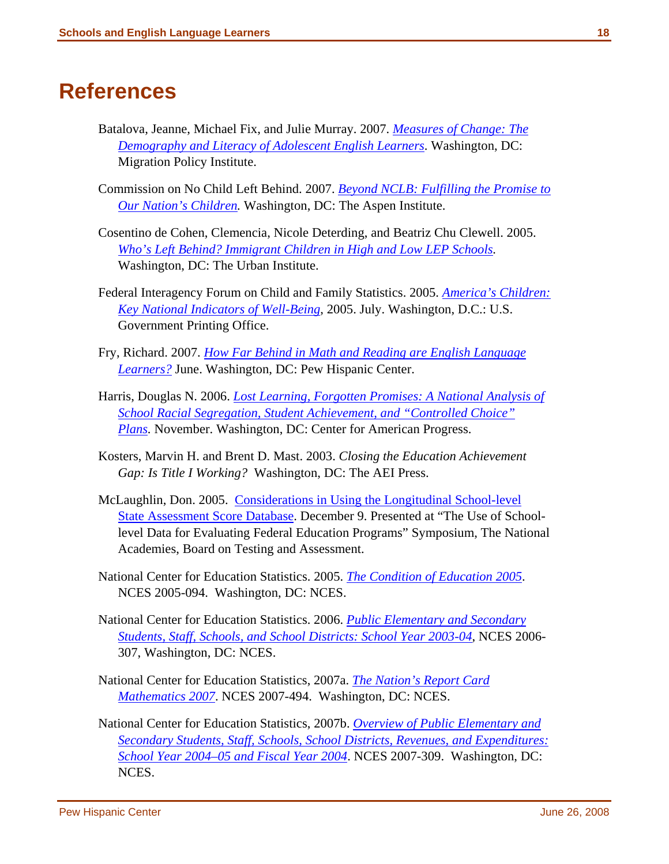#### <span id="page-24-0"></span>**References**

- Batalova, Jeanne, Michael Fix, and Julie Murray. 2007. *[Measures of Change: The](http://www.migrationpolicy.org/pubs/Measures_of_Change.pdf)  [Demography and Literacy of Adolescent English Learners](http://www.migrationpolicy.org/pubs/Measures_of_Change.pdf)*. Washington, DC: Migration Policy Institute.
- Commission on No Child Left Behind. 2007. *[Beyond NCLB: Fulfilling the Promise to](http://www.aspeninstitute.org/atf/cf/%7BDEB6F227-659B-4EC8-8F84-8DF23CA704F5%7D/NCLB_Book.pdf)  [Our Nation's Children](http://www.aspeninstitute.org/atf/cf/%7BDEB6F227-659B-4EC8-8F84-8DF23CA704F5%7D/NCLB_Book.pdf).* Washington, DC: The Aspen Institute.
- Cosentino de Cohen, Clemencia, Nicole Deterding, and Beatriz Chu Clewell. 2005. *[Who's Left Behind? Immigrant Children in High and Low LEP Schools](http://www.urban.org/UploadedPDF/411231_whos_left_behind.pdf).*  Washington, DC: The Urban Institute.
- Federal Interagency Forum on Child and Family Statistics. 2005. *[America's Children:](http://www.childstats.gov/pdf/ac2005/ac_05.pdf)  [Key National Indicators of Well-Being](http://www.childstats.gov/pdf/ac2005/ac_05.pdf)*, 2005. July. Washington, D.C.: U.S. Government Printing Office.
- Fry, Richard. 2007. *[How Far Behind in Math and Reading are English Language](http://pewhispanic.org/files/reports/76.pdf)  [Learners?](http://pewhispanic.org/files/reports/76.pdf)* June. Washington, DC: Pew Hispanic Center.
- Harris, Douglas N. 2006. *[Lost Learning, Forgotten Promises: A National Analysis of](http://www.americanprogress.org/issues/2006/11/pdf/lostlearning.pdf)  [School Racial Segregation, Student Achievement, and "Controlled Choice"](http://www.americanprogress.org/issues/2006/11/pdf/lostlearning.pdf)  [Plans](http://www.americanprogress.org/issues/2006/11/pdf/lostlearning.pdf).* November. Washington, DC: Center for American Progress.
- Kosters, Marvin H. and Brent D. Mast. 2003. *Closing the Education Achievement Gap: Is Title I Working?* Washington, DC: The AEI Press.
- McLaughlin, Don. 2005. [Considerations in Using the Longitudinal School-level](http://www7.nationalacademies.org/BOTA/School-Level%20Data_McLaughlin-Final.pdf)  [State Assessment Score Database.](http://www7.nationalacademies.org/BOTA/School-Level%20Data_McLaughlin-Final.pdf) December 9. Presented at "The Use of Schoollevel Data for Evaluating Federal Education Programs" Symposium, The National Academies, Board on Testing and Assessment.
- National Center for Education Statistics. 2005. *[The Condition of Education 2005](http://nces.ed.gov/pubs2005/2005094.pdf)*. NCES 2005-094. Washington, DC: NCES.
- National Center for Education Statistics. 2006. *[Public Elementary and Secondary](http://nces.ed.gov/pubs2006/2006307.pdf)  [Students, Staff, Schools, and School Districts: School Year 2003-04](http://nces.ed.gov/pubs2006/2006307.pdf)*, NCES 2006- 307, Washington, DC: NCES.
- National Center for Education Statistics, 2007a. *[The Nation's Report Card](http://nces.ed.gov/nationsreportcard/pdf/main2007/2007494.pdf)  [Mathematics 2007](http://nces.ed.gov/nationsreportcard/pdf/main2007/2007494.pdf)*. NCES 2007-494. Washington, DC: NCES.
- National Center for Education Statistics, 2007b. *[Overview of Public Elementary and](http://nces.ed.gov/pubs2007/2007309.pdf)  [Secondary Students, Staff, Schools, School Districts, Revenues, and Expenditures:](http://nces.ed.gov/pubs2007/2007309.pdf)  [School Year 2004–05 and Fiscal Year 2004](http://nces.ed.gov/pubs2007/2007309.pdf)*. NCES 2007-309. Washington, DC: NCES.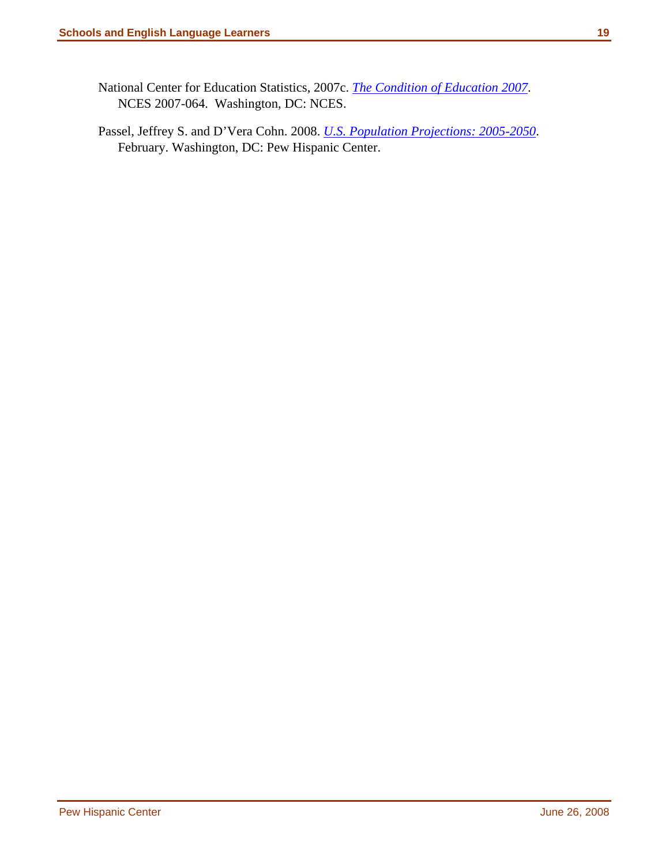- National Center for Education Statistics, 2007c. *[The Condition of Education 2007](http://nces.ed.gov/pubs2007/2007064.pdf)*. NCES 2007-064. Washington, DC: NCES.
- Passel, Jeffrey S. and D'Vera Cohn. 2008. *[U.S. Population Projections: 2005-2050](http://pewhispanic.org/files/reports/85.pdf)*. February. Washington, DC: Pew Hispanic Center.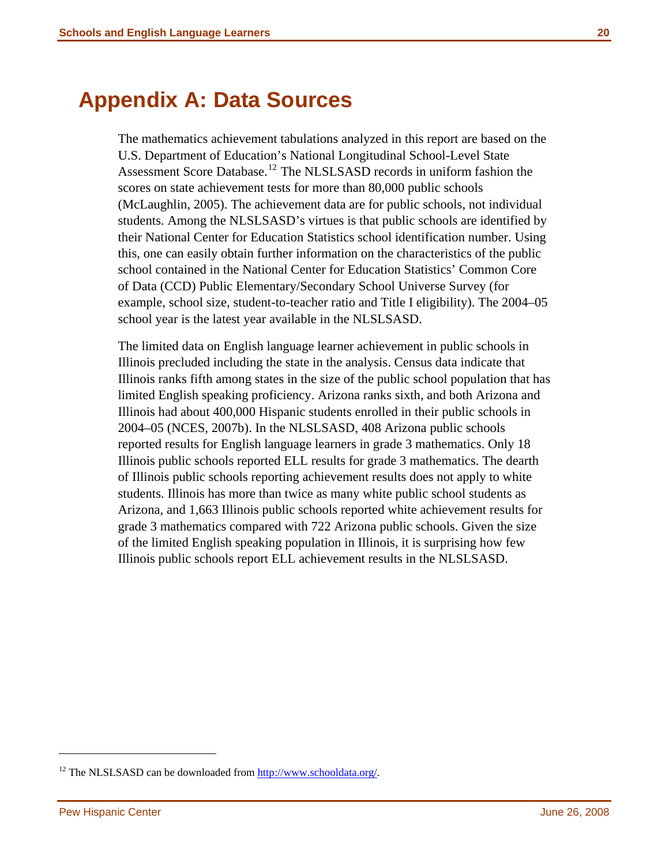### <span id="page-26-0"></span>**Appendix A: Data Sources**

The mathematics achievement tabulations analyzed in this report are based on the U.S. Department of Education's National Longitudinal School-Level State Assessment Score Database.<sup>[12](#page-26-1)</sup> The NLSLSASD records in uniform fashion the scores on state achievement tests for more than 80,000 public schools (McLaughlin, 2005). The achievement data are for public schools, not individual students. Among the NLSLSASD's virtues is that public schools are identified by their National Center for Education Statistics school identification number. Using this, one can easily obtain further information on the characteristics of the public school contained in the National Center for Education Statistics' Common Core of Data (CCD) Public Elementary/Secondary School Universe Survey (for example, school size, student-to-teacher ratio and Title I eligibility). The 2004–05 school year is the latest year available in the NLSLSASD.

The limited data on English language learner achievement in public schools in Illinois precluded including the state in the analysis. Census data indicate that Illinois ranks fifth among states in the size of the public school population that has limited English speaking proficiency. Arizona ranks sixth, and both Arizona and Illinois had about 400,000 Hispanic students enrolled in their public schools in 2004–05 (NCES, 2007b). In the NLSLSASD, 408 Arizona public schools reported results for English language learners in grade 3 mathematics. Only 18 Illinois public schools reported ELL results for grade 3 mathematics. The dearth of Illinois public schools reporting achievement results does not apply to white students. Illinois has more than twice as many white public school students as Arizona, and 1,663 Illinois public schools reported white achievement results for grade 3 mathematics compared with 722 Arizona public schools. Given the size of the limited English speaking population in Illinois, it is surprising how few Illinois public schools report ELL achievement results in the NLSLSASD.

<span id="page-26-1"></span><sup>&</sup>lt;sup>12</sup> The NLSLSASD can be downloaded from <http://www.schooldata.org/>.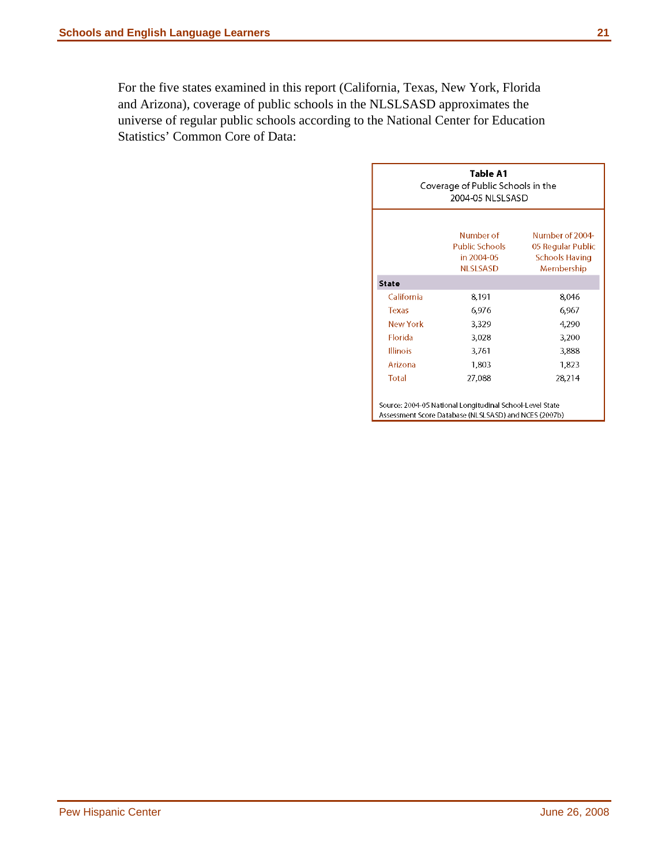For the five states examined in this report (California, Texas, New York, Florida and Arizona), coverage of public schools in the NLSLSASD approximates the universe of regular public schools according to the National Center for Education Statistics' Common Core of Data:

|                 | Table A1<br>Coverage of Public Schools in the<br>2004-05 NLSLSASD                                                 |                                                                             |  |  |  |  |  |  |  |  |
|-----------------|-------------------------------------------------------------------------------------------------------------------|-----------------------------------------------------------------------------|--|--|--|--|--|--|--|--|
|                 | Number of<br>Public Schools -<br>in 2004-05<br><b>NLSLSASD</b>                                                    | Number of 2004-<br>05 Regular Public<br><b>Schools Having</b><br>Membership |  |  |  |  |  |  |  |  |
| <b>State</b>    |                                                                                                                   |                                                                             |  |  |  |  |  |  |  |  |
| California      | 8,191                                                                                                             | 8.046                                                                       |  |  |  |  |  |  |  |  |
| <b>Texas</b>    | 6,976                                                                                                             | 6.967                                                                       |  |  |  |  |  |  |  |  |
| New York        | 3,329                                                                                                             | 4,290                                                                       |  |  |  |  |  |  |  |  |
| <b>Florida</b>  | 3,028                                                                                                             | 3,200                                                                       |  |  |  |  |  |  |  |  |
| <b>Illinois</b> | 3,761                                                                                                             | 3,888                                                                       |  |  |  |  |  |  |  |  |
| Arizona         | 1,803                                                                                                             | 1.823                                                                       |  |  |  |  |  |  |  |  |
| Total           | 27,088                                                                                                            | 28.214                                                                      |  |  |  |  |  |  |  |  |
|                 | Source: 2004-05 National Longitudinal School-Level State<br>Assessment Score Database (NLSLSASD) and NCES (2007b) |                                                                             |  |  |  |  |  |  |  |  |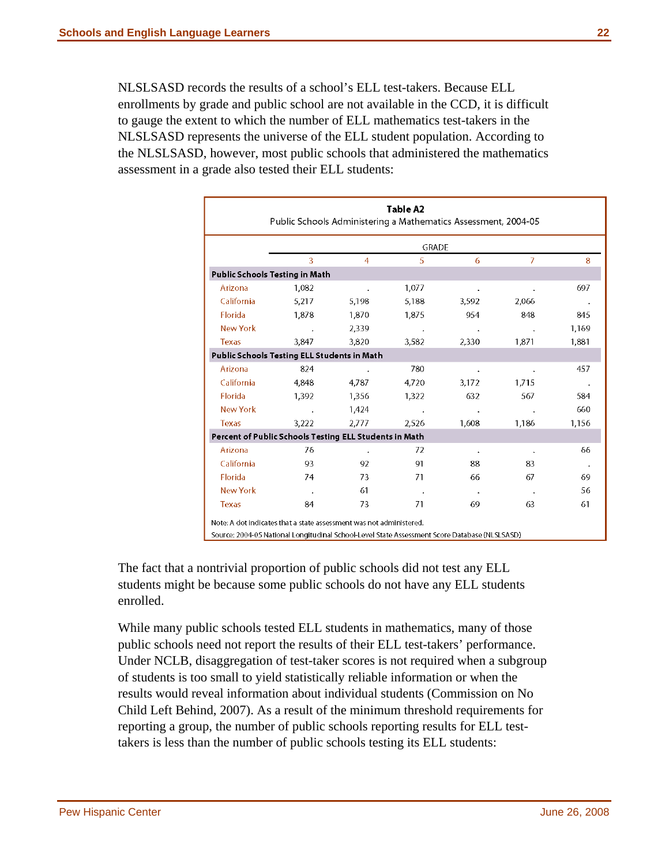NLSLSASD records the results of a school's ELL test-takers. Because ELL enrollments by grade and public school are not available in the CCD, it is difficult to gauge the extent to which the number of ELL mathematics test-takers in the NLSLSASD represents the universe of the ELL student population. According to the NLSLSASD, however, most public schools that administered the mathematics assessment in a grade also tested their ELL students:

|                                                        | GRADE  |                      |               |           |                |                            |  |  |  |  |
|--------------------------------------------------------|--------|----------------------|---------------|-----------|----------------|----------------------------|--|--|--|--|
|                                                        | 3      | 4                    | 5             | 6         | $\overline{7}$ | 8                          |  |  |  |  |
| Public Schools Testing in Math                         |        |                      |               |           |                |                            |  |  |  |  |
| Arizona                                                | 1.082  | $\ddot{\phantom{0}}$ | 1.077         | $\Delta$  |                | 697                        |  |  |  |  |
| California                                             | 5.217  | 5,198                | 5,188         | 3,592     | 2.066          |                            |  |  |  |  |
| Florida                                                | 1.878  | 1.870                | 1.875         | 954       | 848            | 845                        |  |  |  |  |
| <b>New York</b>                                        | $\sim$ | 2,339                | $\sim$ $\sim$ |           |                | 1,169                      |  |  |  |  |
| <b>Texas</b>                                           | 3.847  | 3,820                | 3.582         | 2,330     | 1871           | 1,881                      |  |  |  |  |
| Public Schools Testing ELL Students in Math            |        |                      |               |           |                |                            |  |  |  |  |
| Arizona                                                | 824    | $\sim$               | 780           | $\bullet$ |                | 457                        |  |  |  |  |
| California                                             | 4.848  | 4,787                | 4.720         | 3,172     | 1.715          |                            |  |  |  |  |
| Florida                                                | 1,392  | 1,356                | 1,322         | 632       | 567            | 584                        |  |  |  |  |
| <b>New York</b>                                        | $\sim$ | 1,424                |               |           |                | 660                        |  |  |  |  |
| <b>Texas</b>                                           | 3,222  | 2,777                | 2,526         | 1,608     | 1.186          | 1,156                      |  |  |  |  |
| Percent of Public Schools Testing ELL Students in Math |        |                      |               |           |                |                            |  |  |  |  |
| Arizona                                                | 76     |                      | 72            | $\bullet$ |                | 66                         |  |  |  |  |
| California                                             | 93     | 92                   | 91            | 88        | 83             | $\mathcal{L}_{\mathbf{a}}$ |  |  |  |  |
| Florida                                                | 74     | 73                   | 71            | 66        | 67             | 69                         |  |  |  |  |
| <b>New York</b>                                        | $\sim$ | 61                   | $\sim$ 4      | $\sim$    | $\blacksquare$ | 56                         |  |  |  |  |
| <b>Texas</b>                                           | 84     | 73                   | 71            | 69        | 63             | 61                         |  |  |  |  |

The fact that a nontrivial proportion of public schools did not test any ELL students might be because some public schools do not have any ELL students enrolled.

While many public schools tested ELL students in mathematics, many of those public schools need not report the results of their ELL test-takers' performance. Under NCLB, disaggregation of test-taker scores is not required when a subgroup of students is too small to yield statistically reliable information or when the results would reveal information about individual students (Commission on No Child Left Behind, 2007). As a result of the minimum threshold requirements for reporting a group, the number of public schools reporting results for ELL testtakers is less than the number of public schools testing its ELL students: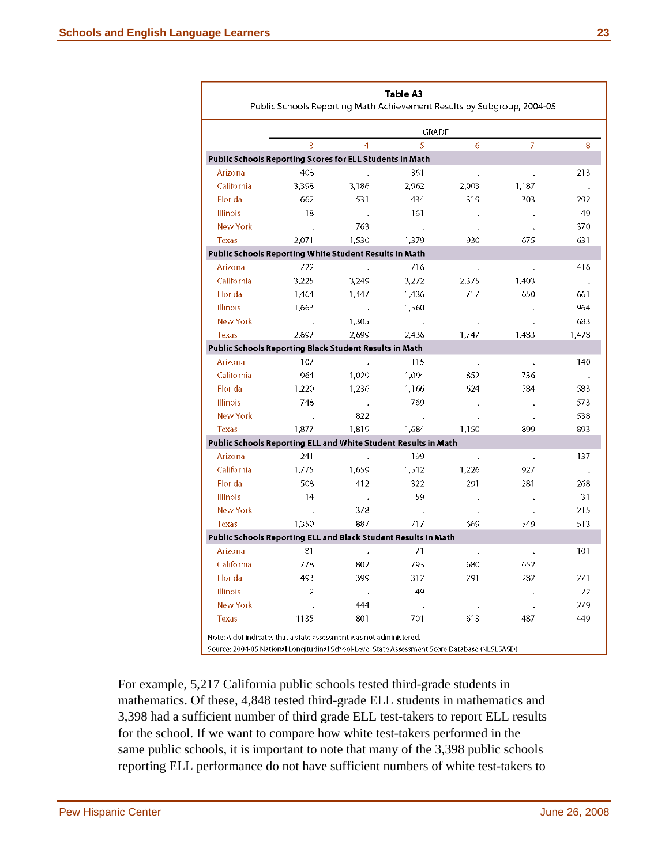|                   |                                                                |                      | GRADE |       |                |       |
|-------------------|----------------------------------------------------------------|----------------------|-------|-------|----------------|-------|
|                   | R                                                              | $\overline{4}$       | 5     | 6     | $\overline{7}$ | 8     |
|                   | Public Schools Reporting Scores for ELL Students in Math       |                      |       |       |                |       |
| Arizona           | 408                                                            |                      | 361   |       |                | 213   |
| California        | 3.398                                                          | 3,186                | 2.962 | 2,003 | 1.187          |       |
| Florida           | 662                                                            | 531                  | 434   | 319   | 303            | 292   |
| Illinois          | 18                                                             |                      | 161   |       |                | 49    |
| <b>New York</b>   | $\sim$                                                         | 763                  |       |       |                | 370   |
| <b>Texas</b>      | 2,071                                                          | 1,530                | 1,379 | 930   | 675            | 631   |
|                   | Public Schools Reporting White Student Results in Math         |                      |       |       |                |       |
| Arizona           | 722                                                            |                      | 716   |       |                | 416   |
| California        | 3.225                                                          | 3,249                | 3,272 | 2,375 | 1,403          |       |
| Florida           | 1,464                                                          | 1.447                | 1,436 | 717   | 650            | 661   |
| <b>Illinois</b>   | 1.663                                                          |                      | 1,560 |       |                | 964   |
| <b>New York</b>   |                                                                | 1.305                |       |       |                | 683   |
| <b>Texas</b>      | 2.697                                                          | 2.699                | 2.436 | 1.747 | 1.483          | 1.478 |
|                   | Public Schools Reporting Black Student Results in Math         |                      |       |       |                |       |
| Arizona           | 107                                                            |                      | 115   |       |                | 140   |
| California        | 964                                                            | 1.029                | 1.094 | 852   | 736            |       |
| <b>Florida</b>    | 1,220                                                          | 1,236                | 1,166 | 624   | 584            | 583   |
| Illinois          | 748                                                            |                      | 769   |       |                | 573   |
| <b>New York</b>   |                                                                | 822                  |       |       |                | 538   |
| <b>Texas</b>      | 1,877                                                          | 1,819                | 1.684 | 1,150 | 899            | 893   |
|                   | Public Schools Reporting ELL and White Student Results in Math |                      |       |       |                |       |
| Arizona           | 241                                                            |                      | 199   |       |                | 137   |
| <b>California</b> | 1.775                                                          | 1,659                | 1.512 | 1,226 | 927            |       |
| <b>Florida</b>    | 508                                                            | 412                  | 322   | 291   | 281            | 268   |
| <b>Illinois</b>   | 14                                                             | $\ddot{\phantom{a}}$ | 59    |       |                | 31    |
| <b>New York</b>   |                                                                | 378                  |       |       |                | 215   |
| <b>Texas</b>      | 1350                                                           | 887                  | 717   | 669   | 549            | 513   |
|                   | Public Schools Reporting ELL and Black Student Results in Math |                      |       |       |                |       |
| Arizona           | 81                                                             |                      | 71    |       |                | 101   |
| <b>California</b> | 778                                                            | 802                  | 793   | 680   | 652            |       |
| Florida           | 493                                                            | 399                  | 312   | 291   | 282            | 271   |
| <b>Illinois</b>   | $\overline{2}$                                                 | $\Delta$             | 49    |       |                | 22    |
| <b>New York</b>   |                                                                | 444                  |       |       |                | 279   |
| <b>Texas</b>      | 1135                                                           | 801                  | 701   | 613   | 487            | 449   |

For example, 5,217 California public schools tested third-grade students in mathematics. Of these, 4,848 tested third-grade ELL students in mathematics and 3,398 had a sufficient number of third grade ELL test-takers to report ELL results for the school. If we want to compare how white test-takers performed in the same public schools, it is important to note that many of the 3,398 public schools reporting ELL performance do not have sufficient numbers of white test-takers to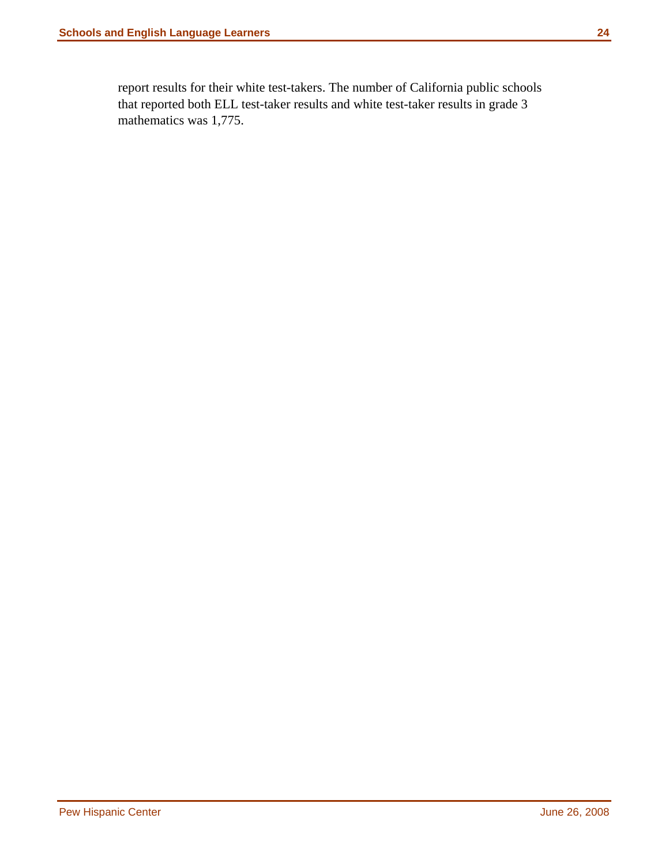report results for their white test-takers. The number of California public schools that reported both ELL test-taker results and white test-taker results in grade 3 mathematics was 1,775.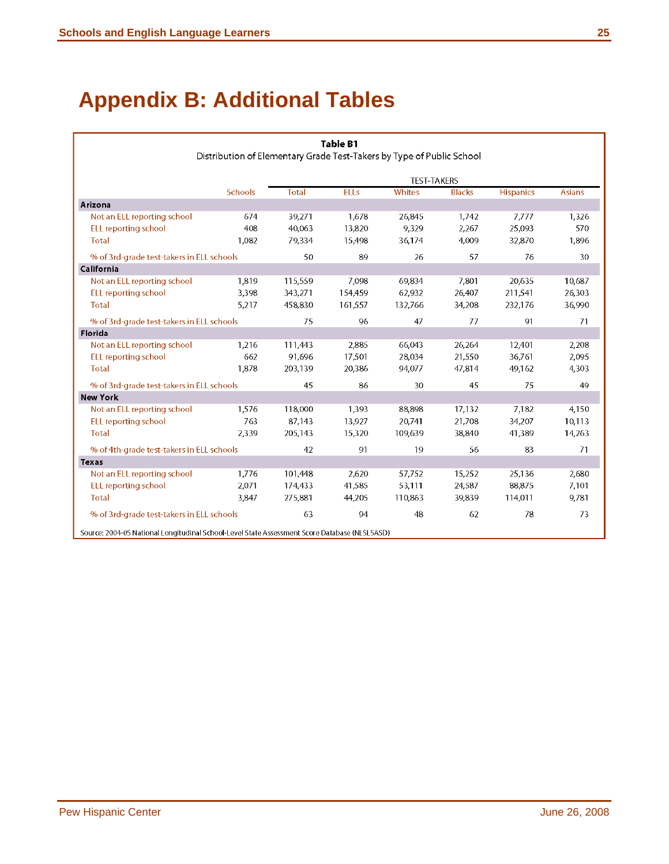# <span id="page-31-0"></span>**Appendix B: Additional Tables**

|                                                                                               |                |         | <b>Table B1</b> |                                                                       |               |                  |               |
|-----------------------------------------------------------------------------------------------|----------------|---------|-----------------|-----------------------------------------------------------------------|---------------|------------------|---------------|
|                                                                                               |                |         |                 | Distribution of Elementary Grade Test-Takers by Type of Public School |               |                  |               |
|                                                                                               |                |         |                 | <b>TEST-TAKERS</b>                                                    |               |                  |               |
|                                                                                               | <b>Schools</b> | Total   | <b>ELLs</b>     | Whites                                                                | <b>Blacks</b> | <b>Hispanics</b> | <b>Asians</b> |
| Arizona                                                                                       |                |         |                 |                                                                       |               |                  |               |
| Not an ELL reporting school                                                                   | 674            | 39,271  | 1,678           | 26,845                                                                | 1,742         | 7777             | 1,326         |
| <b>ELL reporting school</b>                                                                   | 408            | 40,063  | 13,820          | 9.329                                                                 | 2,267         | 25,093           | 570           |
| <b>Total</b>                                                                                  | 1,082          | 79,334  | 15,498          | 36,174                                                                | 4,009         | 32,870           | 1,896         |
| % of 3rd-grade test-takers in ELL schools                                                     |                | 50      | 89              | 26                                                                    | 57            | 76               | 30            |
| California                                                                                    |                |         |                 |                                                                       |               |                  |               |
| Not an ELL reporting school                                                                   | 1,819          | 115,559 | 7,098           | 69,834                                                                | 7,801         | 20,635           | 10,687        |
| ELL reporting school                                                                          | 3,398          | 343,271 | 154,459         | 62,932                                                                | 26,407        | 211.541          | 26,303        |
| Total                                                                                         | 5,217          | 458,830 | 161,557         | 132,766                                                               | 34,208        | 232,176          | 36,990        |
| % of 3rd-grade test-takers in ELL schools                                                     |                | 75      | 96              | 47                                                                    | 77            | 91               | 71            |
| Florida                                                                                       |                |         |                 |                                                                       |               |                  |               |
| Not an ELL reporting school                                                                   | 1,216          | 111,443 | 2,885           | 66,043                                                                | 26,264        | 12,401           | 2,208         |
| <b>ELL reporting school</b>                                                                   | 662            | 91,696  | 17,501          | 28.034                                                                | 21,550        | 36.761           | 2,095         |
| <b>Total</b>                                                                                  | 1.878          | 203,139 | 20,386          | 94.077                                                                | 47,814        | 49.162           | 4,303         |
| % of 3rd-grade test-takers in ELL schools                                                     |                | 45      | 86              | 30                                                                    | 45            | 75               | 49            |
| <b>New York</b>                                                                               |                |         |                 |                                                                       |               |                  |               |
| Not an ELL reporting school                                                                   | 1,576          | 118,000 | 1,393           | 88.898                                                                | 17,132        | 7182             | 4,150         |
| <b>ELL reporting school</b>                                                                   | 763            | 87,143  | 13,927          | 20741                                                                 | 21,708        | 34 207           | 10,113        |
| Total                                                                                         | 2,339          | 205,143 | 15,320          | 109,639                                                               | 38,840        | 41.389           | 14,263        |
| % of 4th-grade test-takers in ELL schools                                                     |                | 42      | 91              | 19                                                                    | 56            | 83               | 71            |
| Texas                                                                                         |                |         |                 |                                                                       |               |                  |               |
| Not an ELL reporting school                                                                   | 1,776          | 101,448 | 2,620           | 57,752                                                                | 15,252        | 25.136           | 2,680         |
| <b>ELL reporting school</b>                                                                   | 2,071          | 174,433 | 41,585          | 53,111                                                                | 24,587        | 88,875           | 7,101         |
| <b>Total</b>                                                                                  | 3,847          | 275.881 | 44,205          | 110,863                                                               | 39,839        | 114.011          | 9,781         |
| % of 3rd-grade test-takers in ELL schools                                                     |                | 63      | 94              | 48                                                                    | 62            | 78               | 73            |
| Source: 2004-05 National Longitudinal School-Level State Assessment Score Database (NLSLSASD) |                |         |                 |                                                                       |               |                  |               |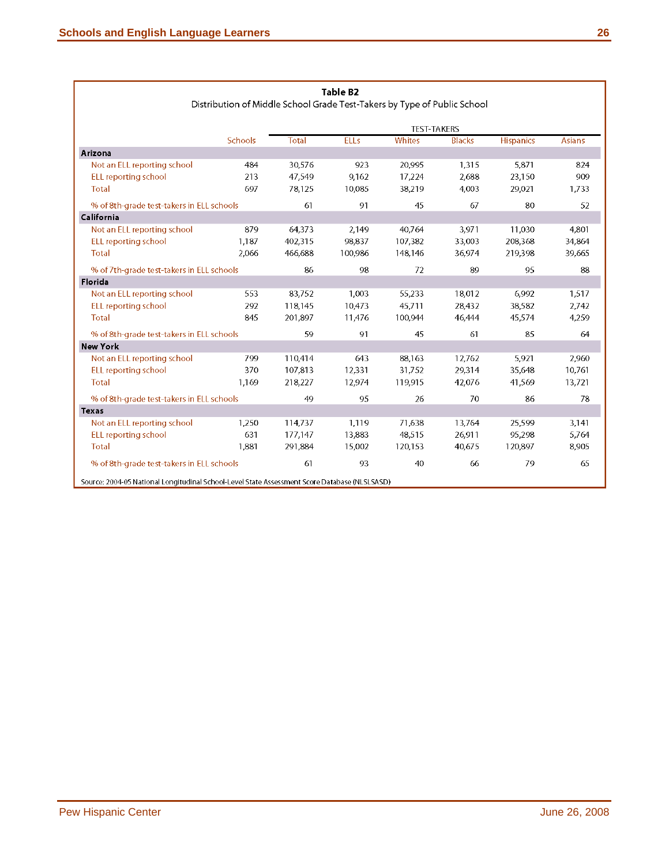Г

| Distribution of Middle School Grade Test-Takers by Type of Public School                      |                |              |             |                    |               |                  |               |  |  |
|-----------------------------------------------------------------------------------------------|----------------|--------------|-------------|--------------------|---------------|------------------|---------------|--|--|
|                                                                                               |                |              |             | <b>TEST-TAKERS</b> |               |                  |               |  |  |
|                                                                                               | <b>Schools</b> | <b>Total</b> | <b>ELLs</b> | Whites             | <b>Blacks</b> | <b>Hispanics</b> | <b>Asians</b> |  |  |
| Arizona                                                                                       |                |              |             |                    |               |                  |               |  |  |
| Not an ELL reporting school                                                                   | 484            | 30,576       | 923         | 20.995             | 1,315         | 5,871            | 824           |  |  |
| ELL reporting school                                                                          | 213            | 47,549       | 9,162       | 17,224             | 2,688         | 23,150           | 909           |  |  |
| <b>Total</b>                                                                                  | 697            | 78125        | 10,085      | 38.219             | 4,003         | 29.021           | 1,733         |  |  |
| % of 8th-grade test-takers in ELL schools                                                     |                | 61           | 91          | 45                 | 67            | 80               | 52            |  |  |
| California                                                                                    |                |              |             |                    |               |                  |               |  |  |
| Not an ELL reporting school                                                                   | 879            | 64.373       | 2,149       | 40764              | 3,971         | 11 030           | 4,801         |  |  |
| ELL reporting school                                                                          | 1,187          | 402.315      | 98,837      | 107,382            | 33,003        | 208,368          | 34,864        |  |  |
| <b>Total</b>                                                                                  | 2,066          | 466,688      | 100,986     | 148.146            | 36,974        | 219.398          | 39,665        |  |  |
| % of 7th-grade test-takers in ELL schools                                                     |                | 86           | 98          | 72                 | 89            | 95               | 88            |  |  |
| Florida                                                                                       |                |              |             |                    |               |                  |               |  |  |
| Not an ELL reporting school                                                                   | 553            | 83,752       | 1,003       | 55,233             | 18,012        | 6,992            | 1,517         |  |  |
| <b>ELL reporting school</b>                                                                   | 292            | 118.145      | 10.473      | 45.711             | 28.432        | 38.582           | 2,742         |  |  |
| <b>Total</b>                                                                                  | 845            | 201.897      | 11.476      | 100.944            | 46.444        | 45.574           | 4.259         |  |  |
| % of 8th-grade test-takers in ELL schools                                                     |                | 59           | 91          | 45                 | 61            | 85               | 64            |  |  |
| <b>New York</b>                                                                               |                |              |             |                    |               |                  |               |  |  |
| Not an ELL reporting school                                                                   | 799            | 110,414      | 643         | 88.163             | 12,762        | 5,921            | 2,960         |  |  |
| ELL reporting school                                                                          | 370            | 107.813      | 12,331      | 31.752             | 29,314        | 35,648           | 10,761        |  |  |
| <b>Total</b>                                                                                  | 1,169          | 218,227      | 12,974      | 119.915            | 42,076        | 41,569           | 13,721        |  |  |
| % of 8th-grade test-takers in ELL schools                                                     |                | 49           | 95          | 26                 | 70            | 86               | 78            |  |  |
| Texas                                                                                         |                |              |             |                    |               |                  |               |  |  |
| Not an ELL reporting school                                                                   | 1,250          | 114.737      | 1,119       | 71.638             | 13,764        | 25.599           | 3,141         |  |  |
| <b>ELL</b> reporting school                                                                   | 631            | 177.147      | 13,883      | 48.515             | 26,911        | 95.298           | 5,764         |  |  |
| Total                                                                                         | 1,881          | 291 884      | 15,002      | 120,153            | 40,675        | 120.897          | 8,905         |  |  |
| % of 8th-grade test-takers in ELL schools                                                     |                | 61           | 93          | 40                 | 66            | 79               | 65            |  |  |
| Source: 2004-05 National Longitudinal School-Level State Assessment Score Database (NLSLSASD) |                |              |             |                    |               |                  |               |  |  |

#### Table B2